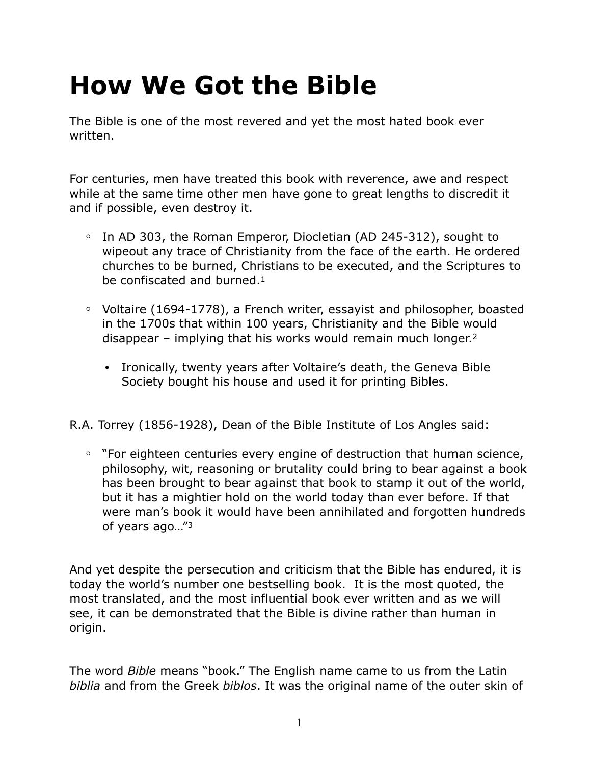# **How We Got the Bible**

The Bible is one of the most revered and yet the most hated book ever written.

For centuries, men have treated this book with reverence, awe and respect while at the same time other men have gone to great lengths to discredit it and if possible, even destroy it.

- **◦** In AD 303, the Roman Emperor, Diocletian (AD 245-312), sought to wipeout any trace of Christianity from the face of the earth. He ordered churches to be burned, Christians to be executed, and the Scriptures to be confiscated and burned.1
- **◦** Voltaire (1694-1778), a French writer, essayist and philosopher, boasted in the 1700s that within 100 years, Christianity and the Bible would disappear – implying that his works would remain much longer.2
	- **•** Ironically, twenty years after Voltaire's death, the Geneva Bible Society bought his house and used it for printing Bibles.

R.A. Torrey (1856-1928), Dean of the Bible Institute of Los Angles said:

**◦** "For eighteen centuries every engine of destruction that human science, philosophy, wit, reasoning or brutality could bring to bear against a book has been brought to bear against that book to stamp it out of the world, but it has a mightier hold on the world today than ever before. If that were man's book it would have been annihilated and forgotten hundreds of years ago…"3

And yet despite the persecution and criticism that the Bible has endured, it is today the world's number one bestselling book. It is the most quoted, the most translated, and the most influential book ever written and as we will see, it can be demonstrated that the Bible is divine rather than human in origin.

The word *Bible* means "book." The English name came to us from the Latin *biblia* and from the Greek *biblos*. It was the original name of the outer skin of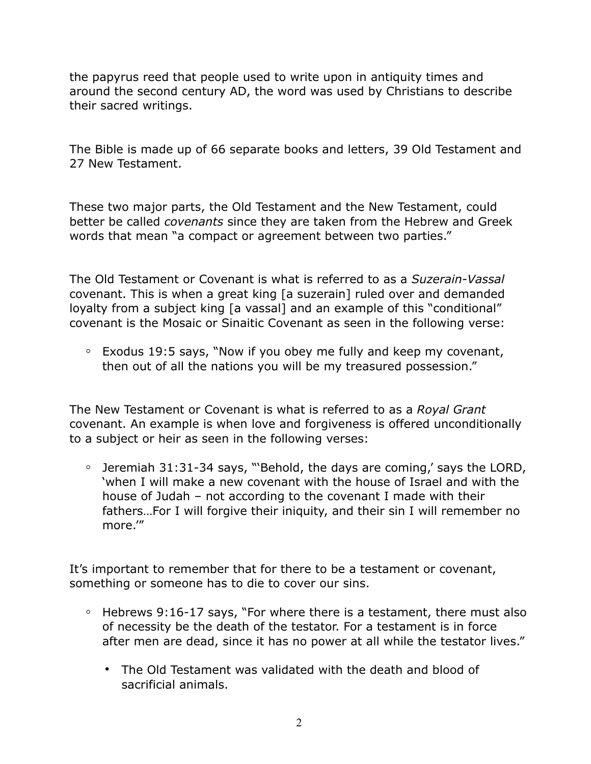the papyrus reed that people used to write upon in antiquity times and around the second century AD, the word was used by Christians to describe their sacred writings.

The Bible is made up of 66 separate books and letters, 39 Old Testament and 27 New Testament.

These two major parts, the Old Testament and the New Testament, could better be called *covenants* since they are taken from the Hebrew and Greek words that mean "a compact or agreement between two parties."

The Old Testament or Covenant is what is referred to as a *Suzerain-Vassal* covenant. This is when a great king [a suzerain] ruled over and demanded loyalty from a subject king [a vassal] and an example of this "conditional" covenant is the Mosaic or Sinaitic Covenant as seen in the following verse:

**◦** Exodus 19:5 says, "Now if you obey me fully and keep my covenant, then out of all the nations you will be my treasured possession."

The New Testament or Covenant is what is referred to as a *Royal Grant* covenant. An example is when love and forgiveness is offered unconditionally to a subject or heir as seen in the following verses:

**◦** Jeremiah 31:31-34 says, "'Behold, the days are coming,' says the LORD, 'when I will make a new covenant with the house of Israel and with the house of Judah – not according to the covenant I made with their fathers…For I will forgive their iniquity, and their sin I will remember no more.'"

It's important to remember that for there to be a testament or covenant, something or someone has to die to cover our sins.

- **◦** Hebrews 9:16-17 says, "For where there is a testament, there must also of necessity be the death of the testator. For a testament is in force after men are dead, since it has no power at all while the testator lives."
	- **•** The Old Testament was validated with the death and blood of sacrificial animals.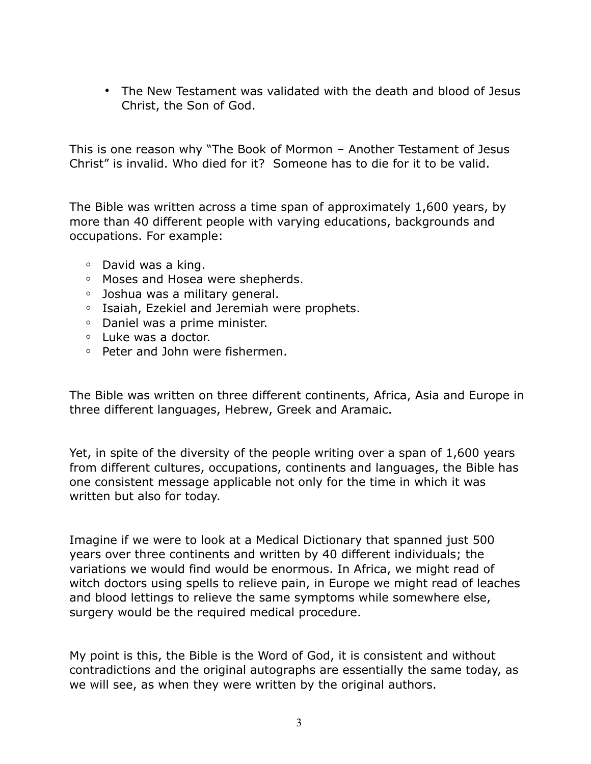**•** The New Testament was validated with the death and blood of Jesus Christ, the Son of God.

This is one reason why "The Book of Mormon – Another Testament of Jesus Christ" is invalid. Who died for it? Someone has to die for it to be valid.

The Bible was written across a time span of approximately 1,600 years, by more than 40 different people with varying educations, backgrounds and occupations. For example:

- **◦** David was a king.
- **◦** Moses and Hosea were shepherds.
- **◦** Joshua was a military general.
- **◦** Isaiah, Ezekiel and Jeremiah were prophets.
- **◦** Daniel was a prime minister.
- **◦** Luke was a doctor.
- **◦** Peter and John were fishermen.

The Bible was written on three different continents, Africa, Asia and Europe in three different languages, Hebrew, Greek and Aramaic.

Yet, in spite of the diversity of the people writing over a span of 1,600 years from different cultures, occupations, continents and languages, the Bible has one consistent message applicable not only for the time in which it was written but also for today.

Imagine if we were to look at a Medical Dictionary that spanned just 500 years over three continents and written by 40 different individuals; the variations we would find would be enormous. In Africa, we might read of witch doctors using spells to relieve pain, in Europe we might read of leaches and blood lettings to relieve the same symptoms while somewhere else, surgery would be the required medical procedure.

My point is this, the Bible is the Word of God, it is consistent and without contradictions and the original autographs are essentially the same today, as we will see, as when they were written by the original authors.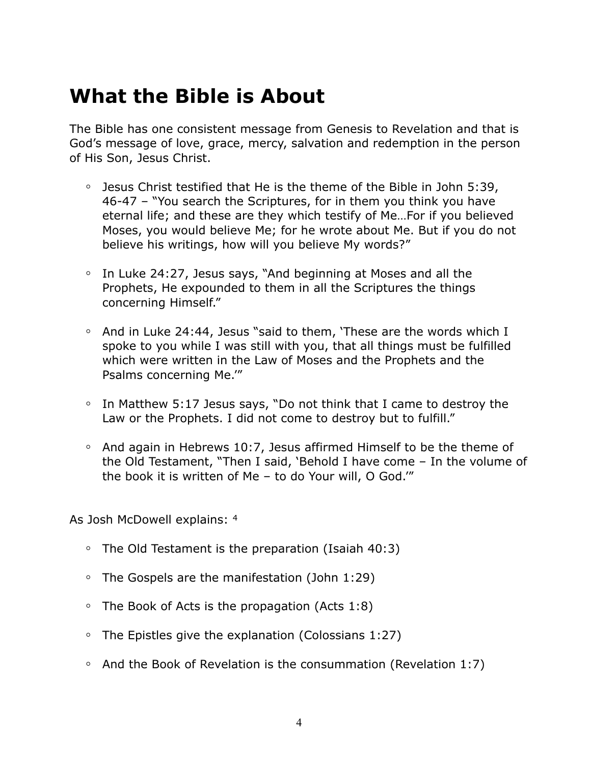# **What the Bible is About**

The Bible has one consistent message from Genesis to Revelation and that is God's message of love, grace, mercy, salvation and redemption in the person of His Son, Jesus Christ.

- **◦** Jesus Christ testified that He is the theme of the Bible in John 5:39, 46-47 – "You search the Scriptures, for in them you think you have eternal life; and these are they which testify of Me…For if you believed Moses, you would believe Me; for he wrote about Me. But if you do not believe his writings, how will you believe My words?"
- **◦** In Luke 24:27, Jesus says, "And beginning at Moses and all the Prophets, He expounded to them in all the Scriptures the things concerning Himself."
- **◦** And in Luke 24:44, Jesus "said to them, 'These are the words which I spoke to you while I was still with you, that all things must be fulfilled which were written in the Law of Moses and the Prophets and the Psalms concerning Me.'"
- **◦** In Matthew 5:17 Jesus says, "Do not think that I came to destroy the Law or the Prophets. I did not come to destroy but to fulfill."
- **◦** And again in Hebrews 10:7, Jesus affirmed Himself to be the theme of the Old Testament, "Then I said, 'Behold I have come – In the volume of the book it is written of Me – to do Your will, O God.'"

As Josh McDowell explains: 4

- **◦** The Old Testament is the preparation (Isaiah 40:3)
- **◦** The Gospels are the manifestation (John 1:29)
- **◦** The Book of Acts is the propagation (Acts 1:8)
- **◦** The Epistles give the explanation (Colossians 1:27)
- **◦** And the Book of Revelation is the consummation (Revelation 1:7)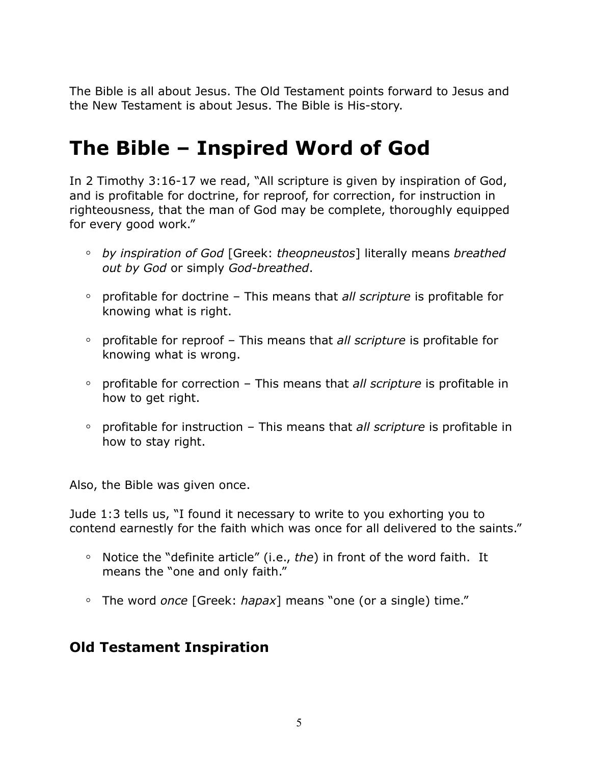The Bible is all about Jesus. The Old Testament points forward to Jesus and the New Testament is about Jesus. The Bible is His-story.

# **The Bible – Inspired Word of God**

In 2 Timothy 3:16-17 we read, "All scripture is given by inspiration of God, and is profitable for doctrine, for reproof, for correction, for instruction in righteousness, that the man of God may be complete, thoroughly equipped for every good work."

- **◦** *by inspiration of God* [Greek: *theopneustos*] literally means *breathed out by God* or simply *God-breathed*.
- **◦** profitable for doctrine This means that *all scripture* is profitable for knowing what is right.
- **◦** profitable for reproof This means that *all scripture* is profitable for knowing what is wrong.
- **◦** profitable for correction This means that *all scripture* is profitable in how to get right.
- **◦** profitable for instruction This means that *all scripture* is profitable in how to stay right.

Also, the Bible was given once.

Jude 1:3 tells us, "I found it necessary to write to you exhorting you to contend earnestly for the faith which was once for all delivered to the saints."

- **◦** Notice the "definite article" (i.e., *the*) in front of the word faith. It means the "one and only faith."
- **◦** The word *once* [Greek: *hapax*] means "one (or a single) time."

### **Old Testament Inspiration**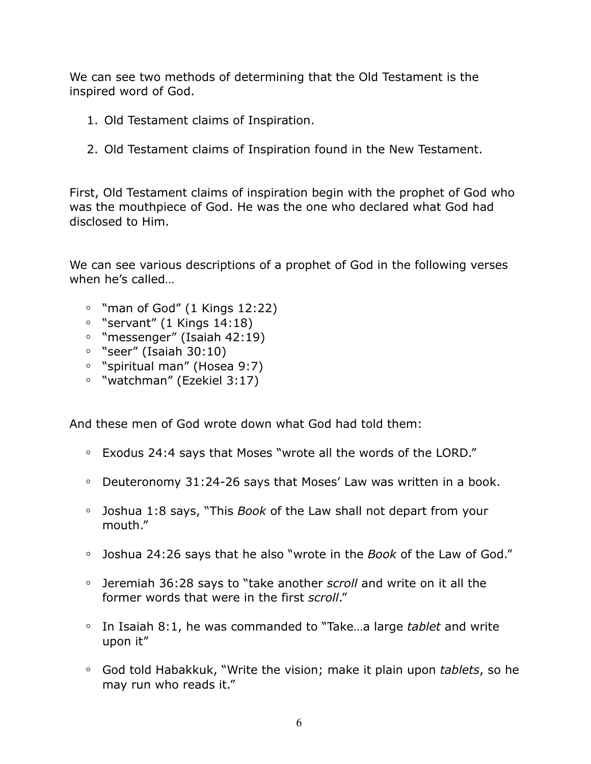We can see two methods of determining that the Old Testament is the inspired word of God.

- 1. Old Testament claims of Inspiration.
- 2. Old Testament claims of Inspiration found in the New Testament.

First, Old Testament claims of inspiration begin with the prophet of God who was the mouthpiece of God. He was the one who declared what God had disclosed to Him.

We can see various descriptions of a prophet of God in the following verses when he's called…

- **◦** "man of God" (1 Kings 12:22)
- **◦** "servant" (1 Kings 14:18)
- **◦** "messenger" (Isaiah 42:19)
- **◦** "seer" (Isaiah 30:10)
- **◦** "spiritual man" (Hosea 9:7)
- **◦** "watchman" (Ezekiel 3:17)

And these men of God wrote down what God had told them:

- **◦** Exodus 24:4 says that Moses "wrote all the words of the LORD."
- **◦** Deuteronomy 31:24-26 says that Moses' Law was written in a book.
- **◦** Joshua 1:8 says, "This *Book* of the Law shall not depart from your mouth."
- **◦** Joshua 24:26 says that he also "wrote in the *Book* of the Law of God."
- **◦** Jeremiah 36:28 says to "take another *scroll* and write on it all the former words that were in the first *scroll*."
- **◦** In Isaiah 8:1, he was commanded to "Take…a large *tablet* and write upon it"
- **◦** God told Habakkuk, "Write the vision; make it plain upon *tablets*, so he may run who reads it."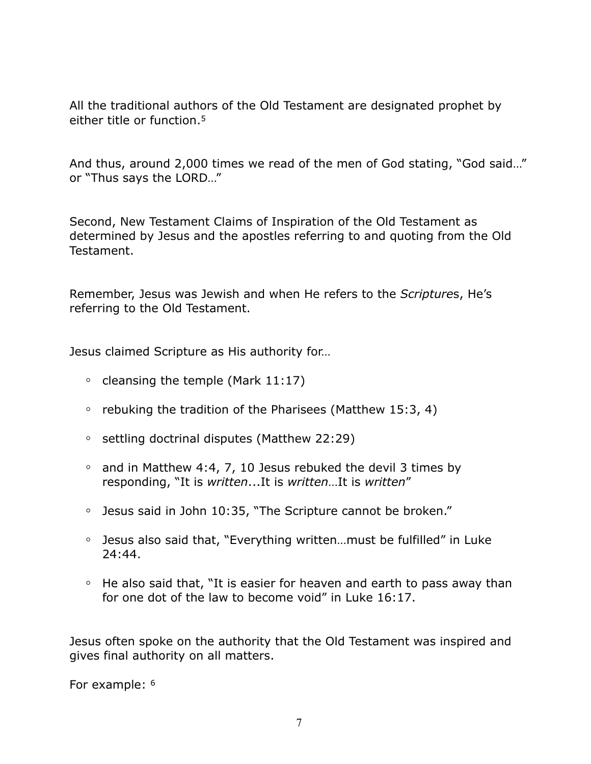All the traditional authors of the Old Testament are designated prophet by either title or function.5

And thus, around 2,000 times we read of the men of God stating, "God said…" or "Thus says the LORD…"

Second, New Testament Claims of Inspiration of the Old Testament as determined by Jesus and the apostles referring to and quoting from the Old Testament.

Remember, Jesus was Jewish and when He refers to the *Scripture*s, He's referring to the Old Testament.

Jesus claimed Scripture as His authority for…

- **◦** cleansing the temple (Mark 11:17)
- **◦** rebuking the tradition of the Pharisees (Matthew 15:3, 4)
- **◦** settling doctrinal disputes (Matthew 22:29)
- **◦** and in Matthew 4:4, 7, 10 Jesus rebuked the devil 3 times by responding, "It is *written*...It is *written*…It is *written*"
- **◦** Jesus said in John 10:35, "The Scripture cannot be broken."
- **◦** Jesus also said that, "Everything written…must be fulfilled" in Luke 24:44.
- **◦** He also said that, "It is easier for heaven and earth to pass away than for one dot of the law to become void" in Luke 16:17.

Jesus often spoke on the authority that the Old Testament was inspired and gives final authority on all matters.

For example: 6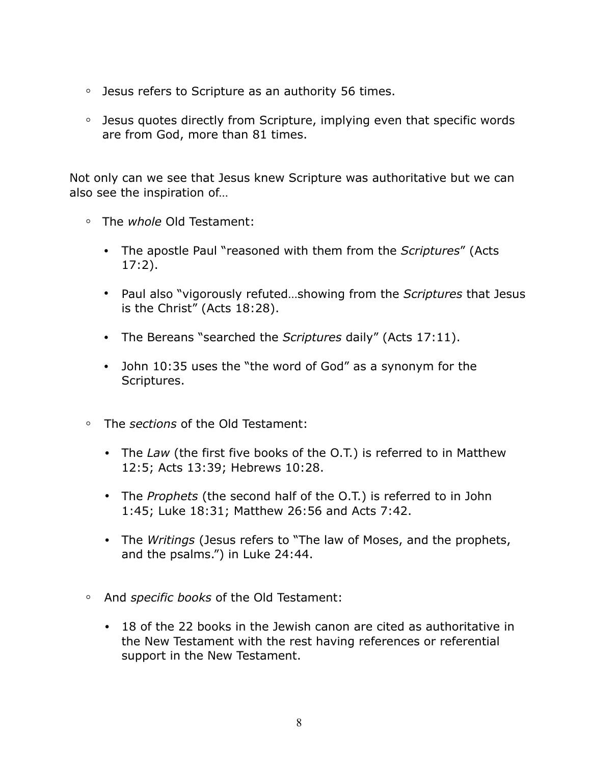- **◦** Jesus refers to Scripture as an authority 56 times.
- **◦** Jesus quotes directly from Scripture, implying even that specific words are from God, more than 81 times.

Not only can we see that Jesus knew Scripture was authoritative but we can also see the inspiration of…

- **◦** The *whole* Old Testament:
	- **•** The apostle Paul "reasoned with them from the *Scriptures*" (Acts 17:2).
	- **•** Paul also "vigorously refuted…showing from the *Scriptures* that Jesus is the Christ" (Acts 18:28).
	- **•** The Bereans "searched the *Scriptures* daily" (Acts 17:11).
	- **•** John 10:35 uses the "the word of God" as a synonym for the Scriptures.
- **◦** The *sections* of the Old Testament:
	- **•** The *Law* (the first five books of the O.T.) is referred to in Matthew 12:5; Acts 13:39; Hebrews 10:28.
	- **•** The *Prophets* (the second half of the O.T.) is referred to in John 1:45; Luke 18:31; Matthew 26:56 and Acts 7:42.
	- **•** The *Writings* (Jesus refers to "The law of Moses, and the prophets, and the psalms.") in Luke 24:44.
- **◦** And *specific books* of the Old Testament:
	- **•** 18 of the 22 books in the Jewish canon are cited as authoritative in the New Testament with the rest having references or referential support in the New Testament.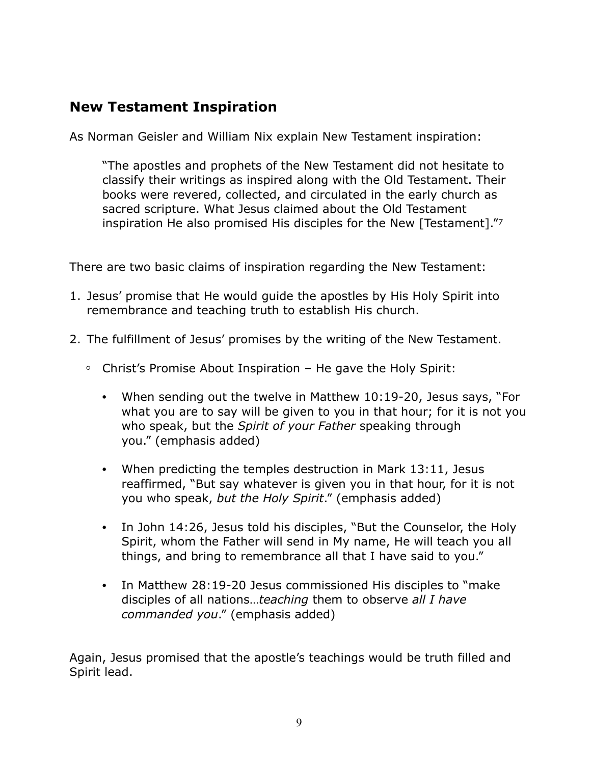### **New Testament Inspiration**

As Norman Geisler and William Nix explain New Testament inspiration:

"The apostles and prophets of the New Testament did not hesitate to classify their writings as inspired along with the Old Testament. Their books were revered, collected, and circulated in the early church as sacred scripture. What Jesus claimed about the Old Testament inspiration He also promised His disciples for the New [Testament]."7

There are two basic claims of inspiration regarding the New Testament:

- 1. Jesus' promise that He would guide the apostles by His Holy Spirit into remembrance and teaching truth to establish His church.
- 2. The fulfillment of Jesus' promises by the writing of the New Testament.
	- **◦** Christ's Promise About Inspiration He gave the Holy Spirit:
		- **•** When sending out the twelve in Matthew 10:19-20, Jesus says, "For what you are to say will be given to you in that hour; for it is not you who speak, but the *Spirit of your Father* speaking through you." (emphasis added)
		- **•** When predicting the temples destruction in Mark 13:11, Jesus reaffirmed, "But say whatever is given you in that hour, for it is not you who speak, *but the Holy Spirit*." (emphasis added)
		- **•** In John 14:26, Jesus told his disciples, "But the Counselor, the Holy Spirit, whom the Father will send in My name, He will teach you all things, and bring to remembrance all that I have said to you."
		- **•** In Matthew 28:19-20 Jesus commissioned His disciples to "make disciples of all nations…*teaching* them to observe *all I have commanded you*." (emphasis added)

Again, Jesus promised that the apostle's teachings would be truth filled and Spirit lead.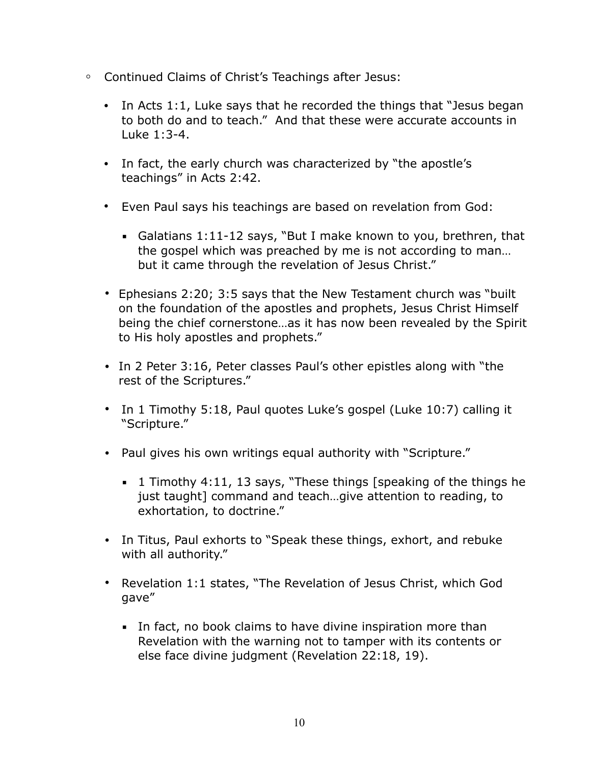- **◦** Continued Claims of Christ's Teachings after Jesus:
	- **•** In Acts 1:1, Luke says that he recorded the things that "Jesus began to both do and to teach." And that these were accurate accounts in Luke 1:3-4.
	- **•** In fact, the early church was characterized by "the apostle's teachings" in Acts 2:42.
	- **•** Even Paul says his teachings are based on revelation from God:
		- Galatians  $1:11-12$  says, "But I make known to you, brethren, that the gospel which was preached by me is not according to man… but it came through the revelation of Jesus Christ."
	- **•** Ephesians 2:20; 3:5 says that the New Testament church was "built on the foundation of the apostles and prophets, Jesus Christ Himself being the chief cornerstone…as it has now been revealed by the Spirit to His holy apostles and prophets."
	- **•** In 2 Peter 3:16, Peter classes Paul's other epistles along with "the rest of the Scriptures."
	- **•** In 1 Timothy 5:18, Paul quotes Luke's gospel (Luke 10:7) calling it "Scripture."
	- **•** Paul gives his own writings equal authority with "Scripture."
		- $\blacksquare$  1 Timothy 4:11, 13 says, "These things [speaking of the things he just taught] command and teach…give attention to reading, to exhortation, to doctrine."
	- **•** In Titus, Paul exhorts to "Speak these things, exhort, and rebuke with all authority."
	- **•** Revelation 1:1 states, "The Revelation of Jesus Christ, which God gave"
		- **.** In fact, no book claims to have divine inspiration more than Revelation with the warning not to tamper with its contents or else face divine judgment (Revelation 22:18, 19).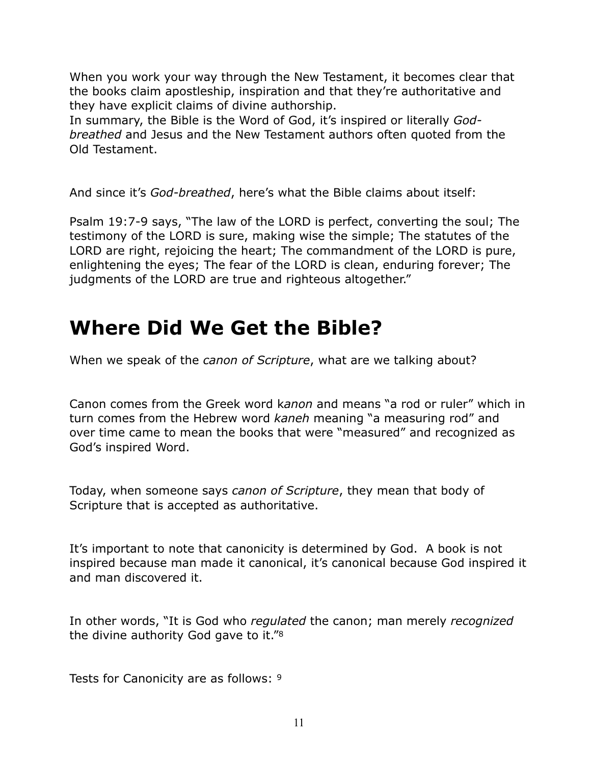When you work your way through the New Testament, it becomes clear that the books claim apostleship, inspiration and that they're authoritative and they have explicit claims of divine authorship.

In summary, the Bible is the Word of God, it's inspired or literally *Godbreathed* and Jesus and the New Testament authors often quoted from the Old Testament.

And since it's *God-breathed*, here's what the Bible claims about itself:

Psalm 19:7-9 says, "The law of the LORD is perfect, converting the soul; The testimony of the LORD is sure, making wise the simple; The statutes of the LORD are right, rejoicing the heart; The commandment of the LORD is pure, enlightening the eyes; The fear of the LORD is clean, enduring forever; The judgments of the LORD are true and righteous altogether."

# **Where Did We Get the Bible?**

When we speak of the *canon of Scripture*, what are we talking about?

Canon comes from the Greek word k*anon* and means "a rod or ruler" which in turn comes from the Hebrew word *kaneh* meaning "a measuring rod" and over time came to mean the books that were "measured" and recognized as God's inspired Word.

Today, when someone says *canon of Scripture*, they mean that body of Scripture that is accepted as authoritative.

It's important to note that canonicity is determined by God. A book is not inspired because man made it canonical, it's canonical because God inspired it and man discovered it.

In other words, "It is God who *regulated* the canon; man merely *recognized* the divine authority God gave to it."8

Tests for Canonicity are as follows: 9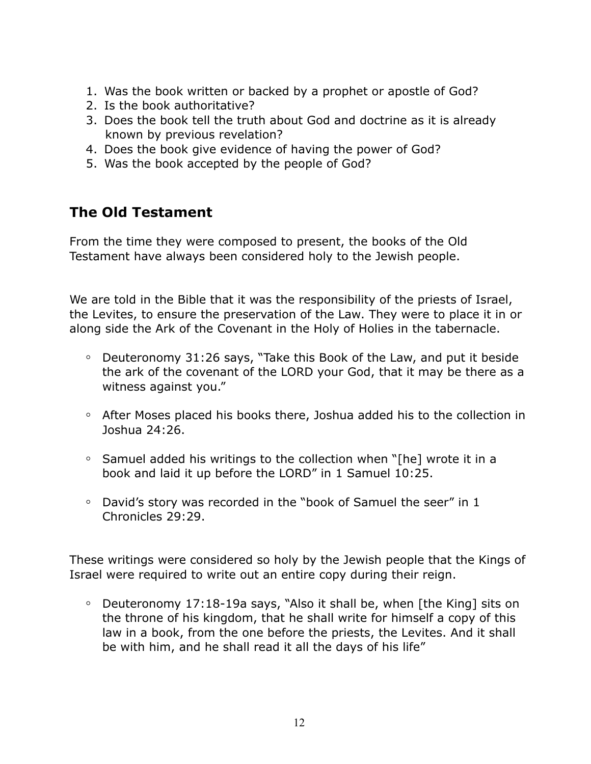- 1. Was the book written or backed by a prophet or apostle of God?
- 2. Is the book authoritative?
- 3. Does the book tell the truth about God and doctrine as it is already known by previous revelation?
- 4. Does the book give evidence of having the power of God?
- 5. Was the book accepted by the people of God?

### **The Old Testament**

From the time they were composed to present, the books of the Old Testament have always been considered holy to the Jewish people.

We are told in the Bible that it was the responsibility of the priests of Israel, the Levites, to ensure the preservation of the Law. They were to place it in or along side the Ark of the Covenant in the Holy of Holies in the tabernacle.

- **◦** Deuteronomy 31:26 says, "Take this Book of the Law, and put it beside the ark of the covenant of the LORD your God, that it may be there as a witness against you."
- **◦** After Moses placed his books there, Joshua added his to the collection in Joshua 24:26.
- **◦** Samuel added his writings to the collection when "[he] wrote it in a book and laid it up before the LORD" in 1 Samuel 10:25.
- **◦** David's story was recorded in the "book of Samuel the seer" in 1 Chronicles 29:29.

These writings were considered so holy by the Jewish people that the Kings of Israel were required to write out an entire copy during their reign.

**◦** Deuteronomy 17:18-19a says, "Also it shall be, when [the King] sits on the throne of his kingdom, that he shall write for himself a copy of this law in a book, from the one before the priests, the Levites. And it shall be with him, and he shall read it all the days of his life"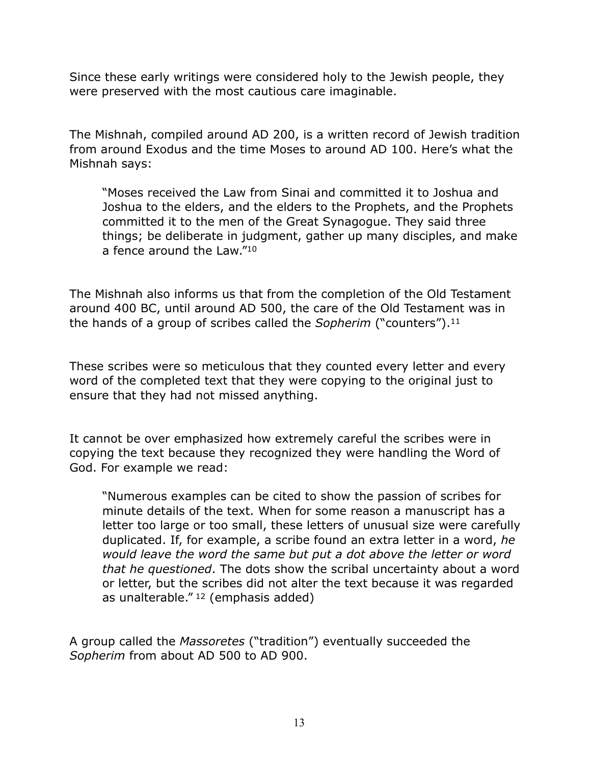Since these early writings were considered holy to the Jewish people, they were preserved with the most cautious care imaginable.

The Mishnah, compiled around AD 200, is a written record of Jewish tradition from around Exodus and the time Moses to around AD 100. Here's what the Mishnah says:

"Moses received the Law from Sinai and committed it to Joshua and Joshua to the elders, and the elders to the Prophets, and the Prophets committed it to the men of the Great Synagogue. They said three things; be deliberate in judgment, gather up many disciples, and make a fence around the Law."10

The Mishnah also informs us that from the completion of the Old Testament around 400 BC, until around AD 500, the care of the Old Testament was in the hands of a group of scribes called the *Sopherim* ("counters").11

These scribes were so meticulous that they counted every letter and every word of the completed text that they were copying to the original just to ensure that they had not missed anything.

It cannot be over emphasized how extremely careful the scribes were in copying the text because they recognized they were handling the Word of God. For example we read:

"Numerous examples can be cited to show the passion of scribes for minute details of the text. When for some reason a manuscript has a letter too large or too small, these letters of unusual size were carefully duplicated. If, for example, a scribe found an extra letter in a word, *he would leave the word the same but put a dot above the letter or word that he questioned*. The dots show the scribal uncertainty about a word or letter, but the scribes did not alter the text because it was regarded as unalterable."<sup>12</sup> (emphasis added)

A group called the *Massoretes* ("tradition") eventually succeeded the *Sopherim* from about AD 500 to AD 900.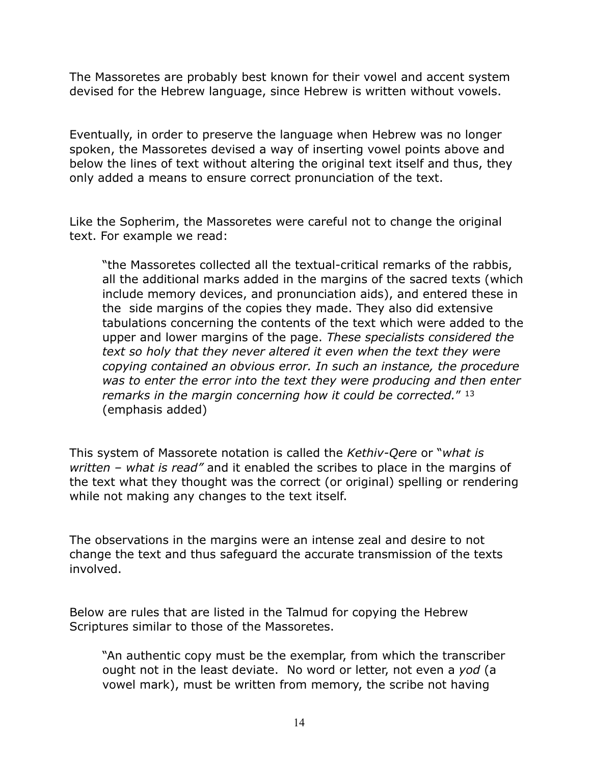The Massoretes are probably best known for their vowel and accent system devised for the Hebrew language, since Hebrew is written without vowels.

Eventually, in order to preserve the language when Hebrew was no longer spoken, the Massoretes devised a way of inserting vowel points above and below the lines of text without altering the original text itself and thus, they only added a means to ensure correct pronunciation of the text.

Like the Sopherim, the Massoretes were careful not to change the original text. For example we read:

"the Massoretes collected all the textual-critical remarks of the rabbis, all the additional marks added in the margins of the sacred texts (which include memory devices, and pronunciation aids), and entered these in the side margins of the copies they made. They also did extensive tabulations concerning the contents of the text which were added to the upper and lower margins of the page. *These specialists considered the text so holy that they never altered it even when the text they were copying contained an obvious error. In such an instance, the procedure was to enter the error into the text they were producing and then enter remarks in the margin concerning how it could be corrected.*" 13 (emphasis added)

This system of Massorete notation is called the *Kethiv-Qere* or "*what is written – what is read"* and it enabled the scribes to place in the margins of the text what they thought was the correct (or original) spelling or rendering while not making any changes to the text itself.

The observations in the margins were an intense zeal and desire to not change the text and thus safeguard the accurate transmission of the texts involved.

Below are rules that are listed in the Talmud for copying the Hebrew Scriptures similar to those of the Massoretes.

"An authentic copy must be the exemplar, from which the transcriber ought not in the least deviate. No word or letter, not even a *yod* (a vowel mark), must be written from memory, the scribe not having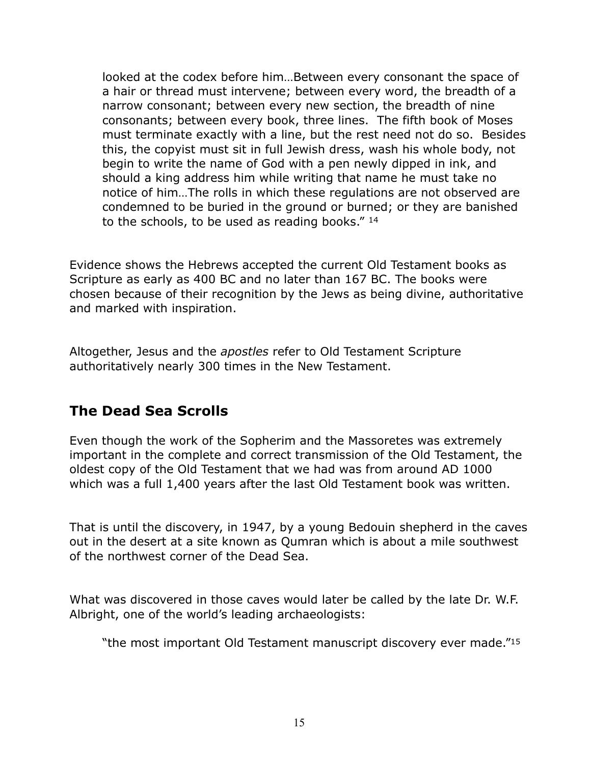looked at the codex before him…Between every consonant the space of a hair or thread must intervene; between every word, the breadth of a narrow consonant; between every new section, the breadth of nine consonants; between every book, three lines. The fifth book of Moses must terminate exactly with a line, but the rest need not do so. Besides this, the copyist must sit in full Jewish dress, wash his whole body, not begin to write the name of God with a pen newly dipped in ink, and should a king address him while writing that name he must take no notice of him…The rolls in which these regulations are not observed are condemned to be buried in the ground or burned; or they are banished to the schools, to be used as reading books." 14

Evidence shows the Hebrews accepted the current Old Testament books as Scripture as early as 400 BC and no later than 167 BC. The books were chosen because of their recognition by the Jews as being divine, authoritative and marked with inspiration.

Altogether, Jesus and the *apostles* refer to Old Testament Scripture authoritatively nearly 300 times in the New Testament.

### **The Dead Sea Scrolls**

Even though the work of the Sopherim and the Massoretes was extremely important in the complete and correct transmission of the Old Testament, the oldest copy of the Old Testament that we had was from around AD 1000 which was a full 1,400 years after the last Old Testament book was written.

That is until the discovery, in 1947, by a young Bedouin shepherd in the caves out in the desert at a site known as Qumran which is about a mile southwest of the northwest corner of the Dead Sea.

What was discovered in those caves would later be called by the late Dr. W.F. Albright, one of the world's leading archaeologists:

"the most important Old Testament manuscript discovery ever made."15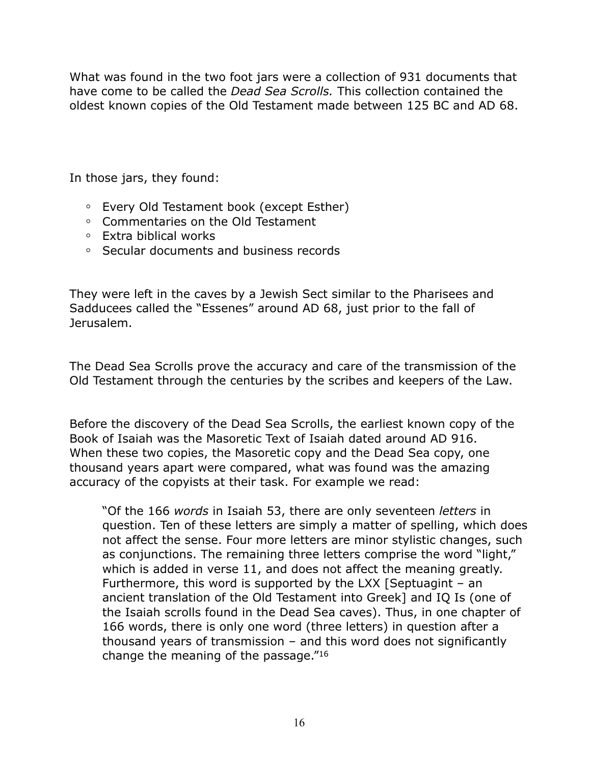What was found in the two foot jars were a collection of 931 documents that have come to be called the *Dead Sea Scrolls.* This collection contained the oldest known copies of the Old Testament made between 125 BC and AD 68.

In those jars, they found:

- **◦** Every Old Testament book (except Esther)
- **◦** Commentaries on the Old Testament
- **◦** Extra biblical works
- **◦** Secular documents and business records

They were left in the caves by a Jewish Sect similar to the Pharisees and Sadducees called the "Essenes" around AD 68, just prior to the fall of Jerusalem.

The Dead Sea Scrolls prove the accuracy and care of the transmission of the Old Testament through the centuries by the scribes and keepers of the Law.

Before the discovery of the Dead Sea Scrolls, the earliest known copy of the Book of Isaiah was the Masoretic Text of Isaiah dated around AD 916. When these two copies, the Masoretic copy and the Dead Sea copy, one thousand years apart were compared, what was found was the amazing accuracy of the copyists at their task. For example we read:

"Of the 166 *words* in Isaiah 53, there are only seventeen *letters* in question. Ten of these letters are simply a matter of spelling, which does not affect the sense. Four more letters are minor stylistic changes, such as conjunctions. The remaining three letters comprise the word "light," which is added in verse 11, and does not affect the meaning greatly. Furthermore, this word is supported by the LXX [Septuagint – an ancient translation of the Old Testament into Greek] and IQ Is (one of the Isaiah scrolls found in the Dead Sea caves). Thus, in one chapter of 166 words, there is only one word (three letters) in question after a thousand years of transmission – and this word does not significantly change the meaning of the passage."16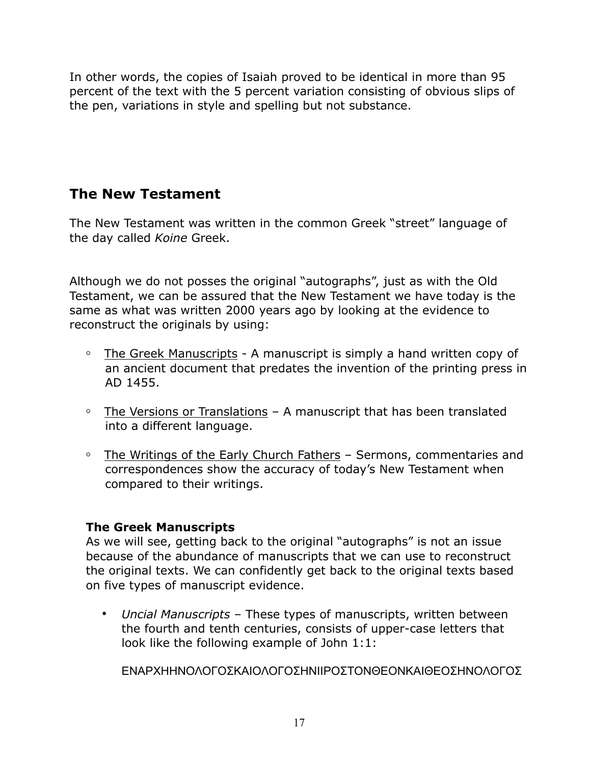In other words, the copies of Isaiah proved to be identical in more than 95 percent of the text with the 5 percent variation consisting of obvious slips of the pen, variations in style and spelling but not substance.

### **The New Testament**

The New Testament was written in the common Greek "street" language of the day called *Koine* Greek.

Although we do not posses the original "autographs", just as with the Old Testament, we can be assured that the New Testament we have today is the same as what was written 2000 years ago by looking at the evidence to reconstruct the originals by using:

- **◦** The Greek Manuscripts A manuscript is simply a hand written copy of an ancient document that predates the invention of the printing press in AD 1455.
- **◦** The Versions or Translations A manuscript that has been translated into a different language.
- **◦** The Writings of the Early Church Fathers Sermons, commentaries and correspondences show the accuracy of today's New Testament when compared to their writings.

#### **The Greek Manuscripts**

As we will see, getting back to the original "autographs" is not an issue because of the abundance of manuscripts that we can use to reconstruct the original texts. We can confidently get back to the original texts based on five types of manuscript evidence.

**•** *Uncial Manuscripts* – These types of manuscripts, written between the fourth and tenth centuries, consists of upper-case letters that look like the following example of John 1:1:

ΕΝΑΡΧΗΗΝΟΛΟΓΟΣΚΑΙΟΛΟΓΟΣΗΝΙΙΡΟΣΤΟΝΘΕΟΝΚΑΙΘΕΟΣΗΝΟΛΟΓΟΣ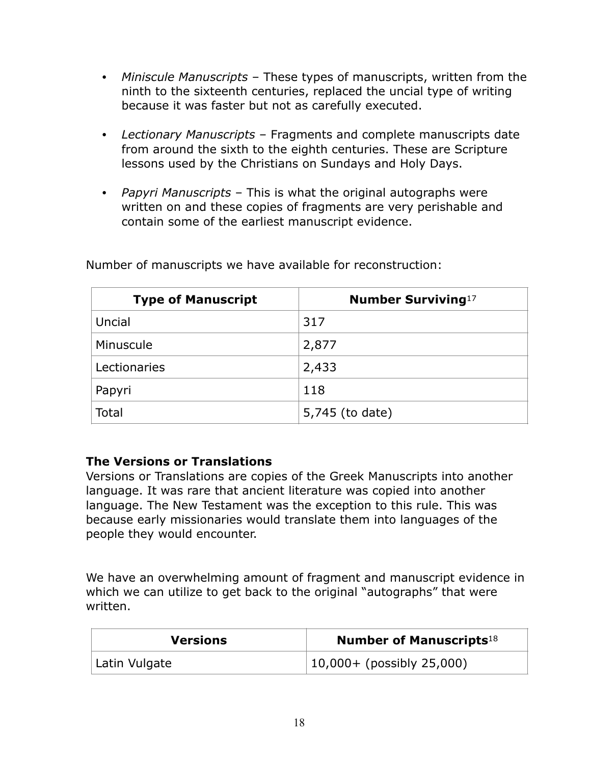- **•** *Miniscule Manuscripts* These types of manuscripts, written from the ninth to the sixteenth centuries, replaced the uncial type of writing because it was faster but not as carefully executed.
- **•** *Lectionary Manuscripts* Fragments and complete manuscripts date from around the sixth to the eighth centuries. These are Scripture lessons used by the Christians on Sundays and Holy Days.
- **•** *Papyri Manuscripts* This is what the original autographs were written on and these copies of fragments are very perishable and contain some of the earliest manuscript evidence.

| <b>Type of Manuscript</b> | <b>Number Surviving</b> 17 |
|---------------------------|----------------------------|
| Uncial                    | 317                        |
| Minuscule                 | 2,877                      |
| Lectionaries              | 2,433                      |
| Papyri                    | 118                        |
| Total                     | 5,745 (to date)            |

Number of manuscripts we have available for reconstruction:

#### **The Versions or Translations**

Versions or Translations are copies of the Greek Manuscripts into another language. It was rare that ancient literature was copied into another language. The New Testament was the exception to this rule. This was because early missionaries would translate them into languages of the people they would encounter.

We have an overwhelming amount of fragment and manuscript evidence in which we can utilize to get back to the original "autographs" that were written.

| <b>Versions</b> | <b>Number of Manuscripts</b> 18 |
|-----------------|---------------------------------|
| Latin Vulgate   | $ 10,000+$ (possibly 25,000)    |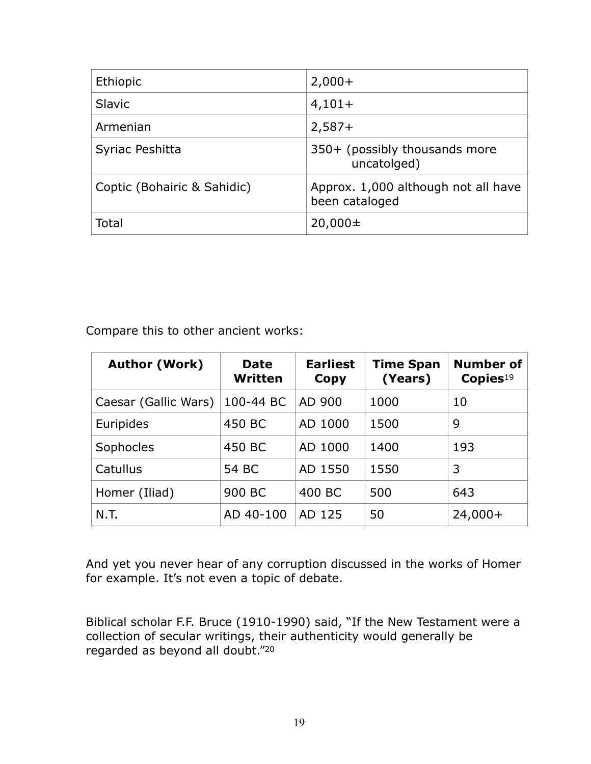| Ethiopic                    | $2,000+$                                              |
|-----------------------------|-------------------------------------------------------|
| <b>Slavic</b>               | $4,101+$                                              |
| Armenian                    | $2,587+$                                              |
| Syriac Peshitta             | 350+ (possibly thousands more<br>uncatolged)          |
| Coptic (Bohairic & Sahidic) | Approx. 1,000 although not all have<br>been cataloged |
| Total                       | $20,000 \pm$                                          |

Compare this to other ancient works:

| <b>Author (Work)</b> | <b>Date</b><br>Written | <b>Earliest</b><br>Copy | <b>Time Span</b><br>(Years) | Number of<br>$\mathbf{Copies}^{19}$ |
|----------------------|------------------------|-------------------------|-----------------------------|-------------------------------------|
| Caesar (Gallic Wars) | 100-44 BC              | AD 900                  | 1000                        | 10                                  |
| Euripides            | 450 BC                 | AD 1000                 | 1500                        | 9                                   |
| Sophocles            | 450 BC                 | AD 1000                 | 1400                        | 193                                 |
| Catullus             | 54 BC                  | AD 1550                 | 1550                        | 3                                   |
| Homer (Iliad)        | 900 BC                 | 400 BC                  | 500                         | 643                                 |
| N.T.                 | AD 40-100              | AD 125                  | 50                          | $24,000+$                           |

And yet you never hear of any corruption discussed in the works of Homer for example. It's not even a topic of debate.

Biblical scholar F.F. Bruce (1910-1990) said, "If the New Testament were a collection of secular writings, their authenticity would generally be regarded as beyond all doubt."20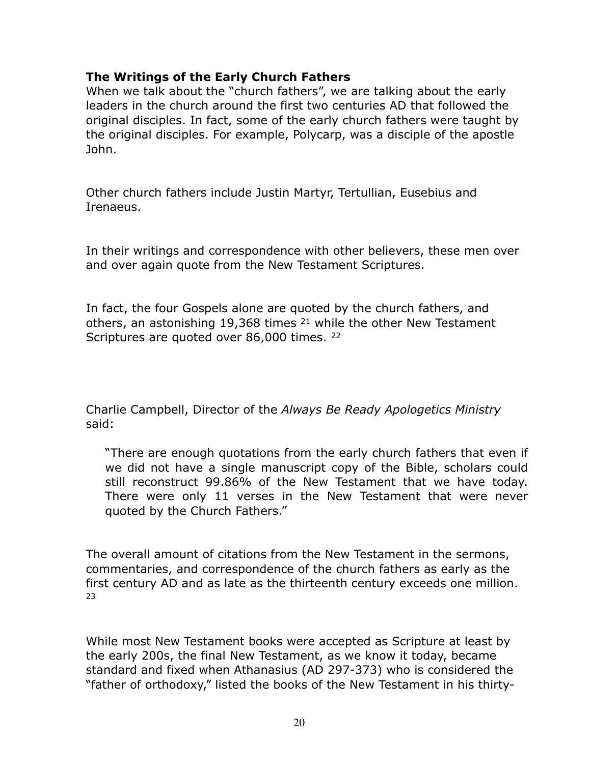#### **The Writings of the Early Church Fathers**

When we talk about the "church fathers", we are talking about the early leaders in the church around the first two centuries AD that followed the original disciples. In fact, some of the early church fathers were taught by the original disciples. For example, Polycarp, was a disciple of the apostle John.

Other church fathers include Justin Martyr, Tertullian, Eusebius and Irenaeus.

In their writings and correspondence with other believers, these men over and over again quote from the New Testament Scriptures.

In fact, the four Gospels alone are quoted by the church fathers, and others, an astonishing 19,368 times 21 while the other New Testament Scriptures are quoted over 86,000 times. <sup>22</sup>

Charlie Campbell, Director of the *Always Be Ready Apologetics Ministry* said:

"There are enough quotations from the early church fathers that even if we did not have a single manuscript copy of the Bible, scholars could still reconstruct 99.86% of the New Testament that we have today. There were only 11 verses in the New Testament that were never quoted by the Church Fathers."

The overall amount of citations from the New Testament in the sermons, commentaries, and correspondence of the church fathers as early as the first century AD and as late as the thirteenth century exceeds one million. 23

While most New Testament books were accepted as Scripture at least by the early 200s, the final New Testament, as we know it today, became standard and fixed when Athanasius (AD 297-373) who is considered the "father of orthodoxy," listed the books of the New Testament in his thirty-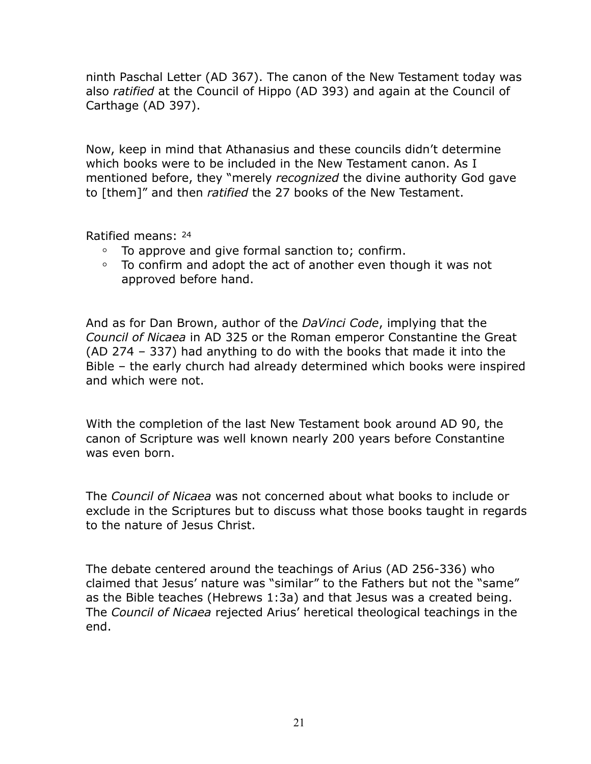ninth Paschal Letter (AD 367). The canon of the New Testament today was also *ratified* at the Council of Hippo (AD 393) and again at the Council of Carthage (AD 397).

Now, keep in mind that Athanasius and these councils didn't determine which books were to be included in the New Testament canon. As I mentioned before, they "merely *recognized* the divine authority God gave to [them]" and then *ratified* the 27 books of the New Testament.

Ratified means: 24

- To approve and give formal sanction to; confirm.
- **◦** To confirm and adopt the act of another even though it was not approved before hand.

And as for Dan Brown, author of the *DaVinci Code*, implying that the *Council of Nicaea* in AD 325 or the Roman emperor Constantine the Great (AD 274 – 337) had anything to do with the books that made it into the Bible – the early church had already determined which books were inspired and which were not.

With the completion of the last New Testament book around AD 90, the canon of Scripture was well known nearly 200 years before Constantine was even born.

The *Council of Nicaea* was not concerned about what books to include or exclude in the Scriptures but to discuss what those books taught in regards to the nature of Jesus Christ.

The debate centered around the teachings of Arius (AD 256-336) who claimed that Jesus' nature was "similar" to the Fathers but not the "same" as the Bible teaches (Hebrews 1:3a) and that Jesus was a created being. The *Council of Nicaea* rejected Arius' heretical theological teachings in the end.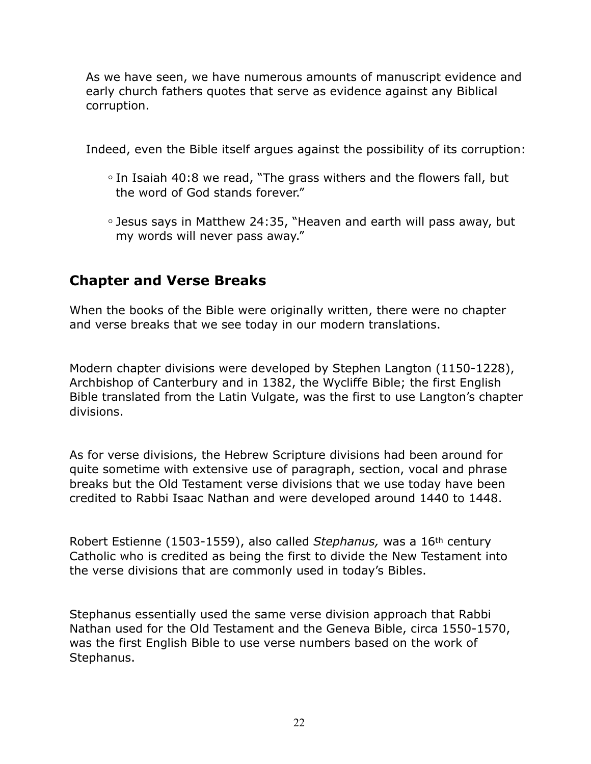As we have seen, we have numerous amounts of manuscript evidence and early church fathers quotes that serve as evidence against any Biblical corruption.

Indeed, even the Bible itself argues against the possibility of its corruption:

- **◦** In Isaiah 40:8 we read, "The grass withers and the flowers fall, but the word of God stands forever."
- **◦** Jesus says in Matthew 24:35, "Heaven and earth will pass away, but my words will never pass away."

### **Chapter and Verse Breaks**

When the books of the Bible were originally written, there were no chapter and verse breaks that we see today in our modern translations.

Modern chapter divisions were developed by Stephen Langton (1150-1228), Archbishop of Canterbury and in 1382, the Wycliffe Bible; the first English Bible translated from the Latin Vulgate, was the first to use Langton's chapter divisions.

As for verse divisions, the Hebrew Scripture divisions had been around for quite sometime with extensive use of paragraph, section, vocal and phrase breaks but the Old Testament verse divisions that we use today have been credited to Rabbi Isaac Nathan and were developed around 1440 to 1448.

Robert Estienne (1503-1559), also called *Stephanus,* was a 16th century Catholic who is credited as being the first to divide the New Testament into the verse divisions that are commonly used in today's Bibles.

Stephanus essentially used the same verse division approach that Rabbi Nathan used for the Old Testament and the Geneva Bible, circa 1550-1570, was the first English Bible to use verse numbers based on the work of Stephanus.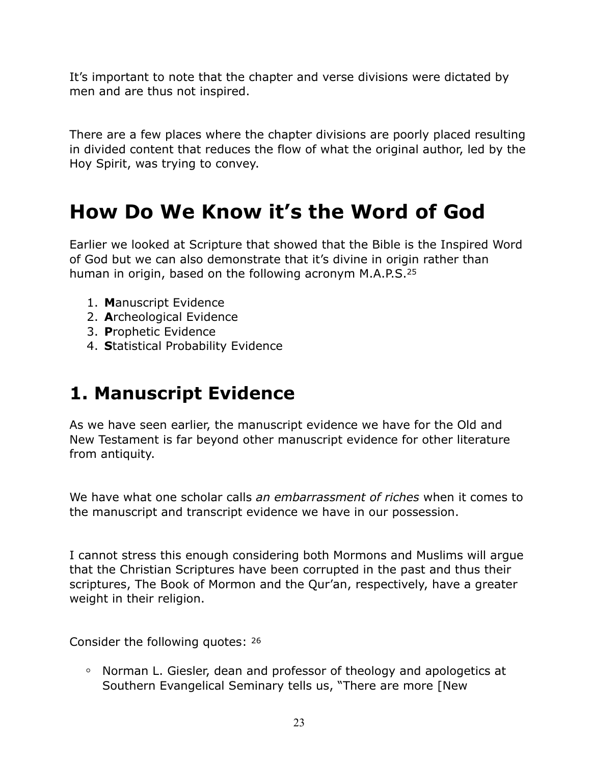It's important to note that the chapter and verse divisions were dictated by men and are thus not inspired.

There are a few places where the chapter divisions are poorly placed resulting in divided content that reduces the flow of what the original author, led by the Hoy Spirit, was trying to convey.

# **How Do We Know it's the Word of God**

Earlier we looked at Scripture that showed that the Bible is the Inspired Word of God but we can also demonstrate that it's divine in origin rather than human in origin, based on the following acronym M.A.P.S.25

- 1. **M**anuscript Evidence
- 2. **A**rcheological Evidence
- 3. **P**rophetic Evidence
- 4. **S**tatistical Probability Evidence

### **1. Manuscript Evidence**

As we have seen earlier, the manuscript evidence we have for the Old and New Testament is far beyond other manuscript evidence for other literature from antiquity.

We have what one scholar calls *an embarrassment of riches* when it comes to the manuscript and transcript evidence we have in our possession.

I cannot stress this enough considering both Mormons and Muslims will argue that the Christian Scriptures have been corrupted in the past and thus their scriptures, The Book of Mormon and the Qur'an, respectively, have a greater weight in their religion.

Consider the following quotes: 26

**◦** Norman L. Giesler, dean and professor of theology and apologetics at Southern Evangelical Seminary tells us, "There are more [New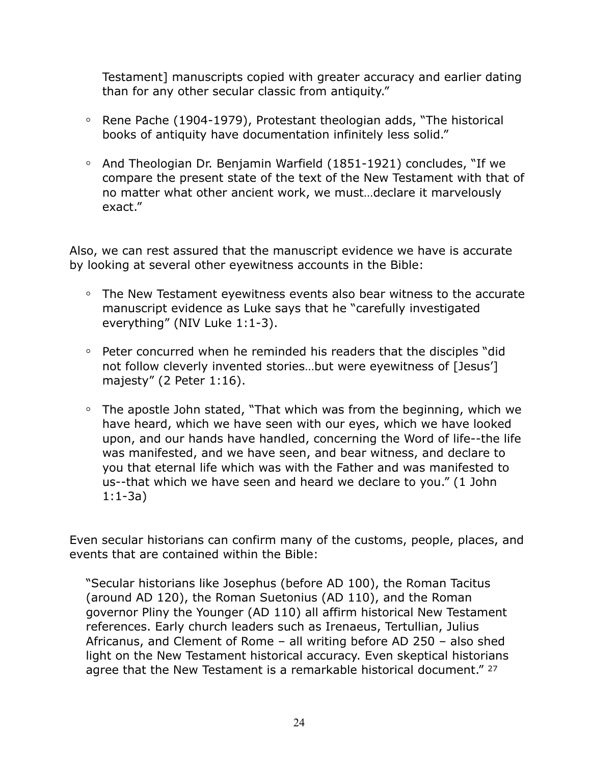Testament] manuscripts copied with greater accuracy and earlier dating than for any other secular classic from antiquity."

- **◦** Rene Pache (1904-1979), Protestant theologian adds, "The historical books of antiquity have documentation infinitely less solid."
- **◦** And Theologian Dr. Benjamin Warfield (1851-1921) concludes, "If we compare the present state of the text of the New Testament with that of no matter what other ancient work, we must…declare it marvelously exact."

Also, we can rest assured that the manuscript evidence we have is accurate by looking at several other eyewitness accounts in the Bible:

- **◦** The New Testament eyewitness events also bear witness to the accurate manuscript evidence as Luke says that he "carefully investigated everything" (NIV Luke 1:1-3).
- **◦** Peter concurred when he reminded his readers that the disciples "did not follow cleverly invented stories…but were eyewitness of [Jesus'] majesty" (2 Peter 1:16).
- **◦** The apostle John stated, "That which was from the beginning, which we have heard, which we have seen with our eyes, which we have looked upon, and our hands have handled, concerning the Word of life--the life was manifested, and we have seen, and bear witness, and declare to you that eternal life which was with the Father and was manifested to us--that which we have seen and heard we declare to you." (1 John 1:1-3a)

Even secular historians can confirm many of the customs, people, places, and events that are contained within the Bible:

"Secular historians like Josephus (before AD 100), the Roman Tacitus (around AD 120), the Roman Suetonius (AD 110), and the Roman governor Pliny the Younger (AD 110) all affirm historical New Testament references. Early church leaders such as Irenaeus, Tertullian, Julius Africanus, and Clement of Rome – all writing before AD 250 – also shed light on the New Testament historical accuracy. Even skeptical historians agree that the New Testament is a remarkable historical document." 27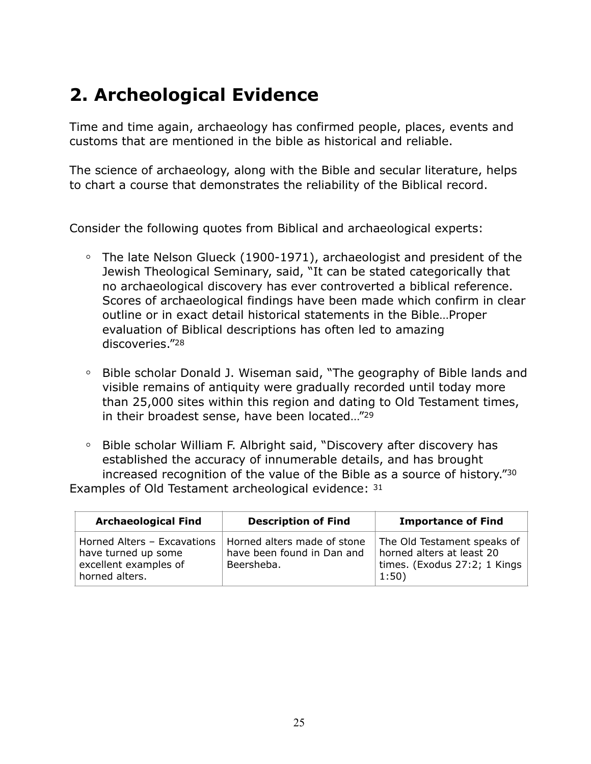## **2. Archeological Evidence**

Time and time again, archaeology has confirmed people, places, events and customs that are mentioned in the bible as historical and reliable.

The science of archaeology, along with the Bible and secular literature, helps to chart a course that demonstrates the reliability of the Biblical record.

Consider the following quotes from Biblical and archaeological experts:

- **◦** The late Nelson Glueck (1900-1971), archaeologist and president of the Jewish Theological Seminary, said, "It can be stated categorically that no archaeological discovery has ever controverted a biblical reference. Scores of archaeological findings have been made which confirm in clear outline or in exact detail historical statements in the Bible…Proper evaluation of Biblical descriptions has often led to amazing discoveries."28
- **◦** Bible scholar Donald J. Wiseman said, "The geography of Bible lands and visible remains of antiquity were gradually recorded until today more than 25,000 sites within this region and dating to Old Testament times, in their broadest sense, have been located…"29
- **◦** Bible scholar William F. Albright said, "Discovery after discovery has established the accuracy of innumerable details, and has brought increased recognition of the value of the Bible as a source of history."30 Examples of Old Testament archeological evidence: 31

| <b>Archaeological Find</b>                                                                    | <b>Description of Find</b>                                              | <b>Importance of Find</b>                                                                         |
|-----------------------------------------------------------------------------------------------|-------------------------------------------------------------------------|---------------------------------------------------------------------------------------------------|
| Horned Alters - Excavations<br>have turned up some<br>excellent examples of<br>horned alters. | Horned alters made of stone<br>have been found in Dan and<br>Beersheba. | The Old Testament speaks of<br>horned alters at least 20<br>times. (Exodus 27:2; 1 Kings<br>1:50) |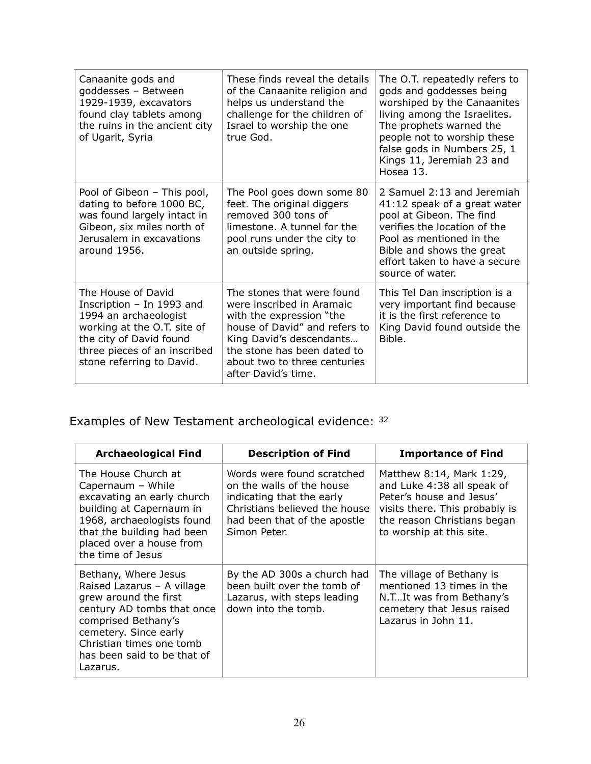| Canaanite gods and<br>goddesses - Between<br>1929-1939, excavators<br>found clay tablets among<br>the ruins in the ancient city<br>of Ugarit, Syria                                             | These finds reveal the details<br>of the Canaanite religion and<br>helps us understand the<br>challenge for the children of<br>Israel to worship the one<br>true God.                                                                  | The O.T. repeatedly refers to<br>gods and goddesses being<br>worshiped by the Canaanites<br>living among the Israelites.<br>The prophets warned the<br>people not to worship these<br>false gods in Numbers 25, 1<br>Kings 11, Jeremiah 23 and<br>Hosea 13. |
|-------------------------------------------------------------------------------------------------------------------------------------------------------------------------------------------------|----------------------------------------------------------------------------------------------------------------------------------------------------------------------------------------------------------------------------------------|-------------------------------------------------------------------------------------------------------------------------------------------------------------------------------------------------------------------------------------------------------------|
| Pool of Gibeon - This pool,<br>dating to before 1000 BC,<br>was found largely intact in<br>Gibeon, six miles north of<br>Jerusalem in excavations<br>around 1956.                               | The Pool goes down some 80<br>feet. The original diggers<br>removed 300 tons of<br>limestone. A tunnel for the<br>pool runs under the city to<br>an outside spring.                                                                    | 2 Samuel 2:13 and Jeremiah<br>41:12 speak of a great water<br>pool at Gibeon. The find<br>verifies the location of the<br>Pool as mentioned in the<br>Bible and shows the great<br>effort taken to have a secure<br>source of water.                        |
| The House of David<br>Inscription - In 1993 and<br>1994 an archaeologist<br>working at the O.T. site of<br>the city of David found<br>three pieces of an inscribed<br>stone referring to David. | The stones that were found<br>were inscribed in Aramaic<br>with the expression "the<br>house of David" and refers to<br>King David's descendants<br>the stone has been dated to<br>about two to three centuries<br>after David's time. | This Tel Dan inscription is a<br>very important find because<br>it is the first reference to<br>King David found outside the<br>Bible.                                                                                                                      |

Examples of New Testament archeological evidence: 32

| <b>Archaeological Find</b>                                                                                                                                                                                                       | <b>Description of Find</b>                                                                                                                                            | <b>Importance of Find</b>                                                                                                                                                       |
|----------------------------------------------------------------------------------------------------------------------------------------------------------------------------------------------------------------------------------|-----------------------------------------------------------------------------------------------------------------------------------------------------------------------|---------------------------------------------------------------------------------------------------------------------------------------------------------------------------------|
| The House Church at<br>Capernaum - While<br>excavating an early church<br>building at Capernaum in<br>1968, archaeologists found<br>that the building had been<br>placed over a house from<br>the time of Jesus                  | Words were found scratched<br>on the walls of the house<br>indicating that the early<br>Christians believed the house<br>had been that of the apostle<br>Simon Peter. | Matthew 8:14, Mark 1:29,<br>and Luke 4:38 all speak of<br>Peter's house and Jesus'<br>visits there. This probably is<br>the reason Christians began<br>to worship at this site. |
| Bethany, Where Jesus<br>Raised Lazarus - A village<br>grew around the first<br>century AD tombs that once<br>comprised Bethany's<br>cemetery. Since early<br>Christian times one tomb<br>has been said to be that of<br>Lazarus. | By the AD 300s a church had<br>been built over the tomb of<br>Lazarus, with steps leading<br>down into the tomb.                                                      | The village of Bethany is<br>mentioned 13 times in the<br>N.TIt was from Bethany's<br>cemetery that Jesus raised<br>Lazarus in John 11.                                         |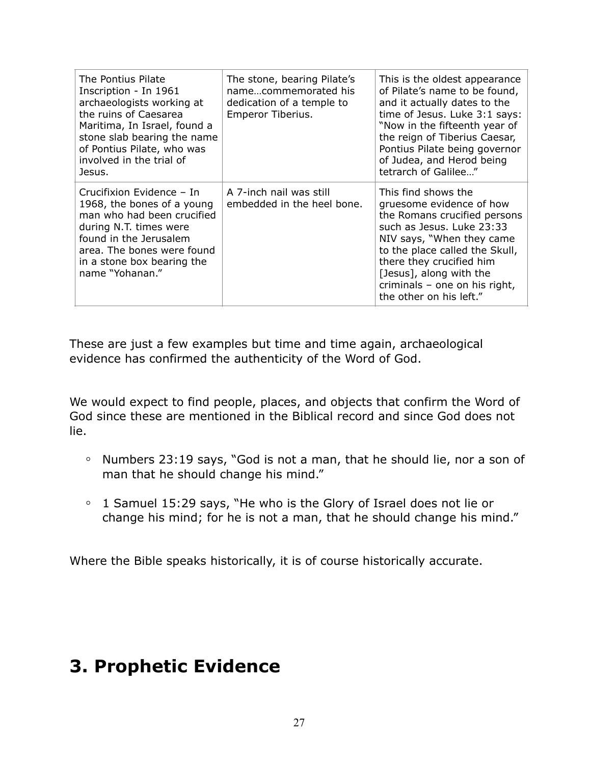| The Pontius Pilate<br>Inscription - In 1961<br>archaeologists working at<br>the ruins of Caesarea<br>Maritima, In Israel, found a<br>stone slab bearing the name<br>of Pontius Pilate, who was<br>involved in the trial of<br>Jesus. | The stone, bearing Pilate's<br>namecommemorated his<br>dedication of a temple to<br>Emperor Tiberius. | This is the oldest appearance<br>of Pilate's name to be found,<br>and it actually dates to the<br>time of Jesus. Luke 3:1 says:<br>"Now in the fifteenth year of<br>the reign of Tiberius Caesar,<br>Pontius Pilate being governor<br>of Judea, and Herod being<br>tetrarch of Galilee"        |
|--------------------------------------------------------------------------------------------------------------------------------------------------------------------------------------------------------------------------------------|-------------------------------------------------------------------------------------------------------|------------------------------------------------------------------------------------------------------------------------------------------------------------------------------------------------------------------------------------------------------------------------------------------------|
| Crucifixion Evidence – In<br>1968, the bones of a young<br>man who had been crucified<br>during N.T. times were<br>found in the Jerusalem<br>area. The bones were found<br>in a stone box bearing the<br>name "Yohanan."             | A 7-inch nail was still<br>embedded in the heel bone.                                                 | This find shows the<br>gruesome evidence of how<br>the Romans crucified persons<br>such as Jesus, Luke 23:33<br>NIV says, "When they came<br>to the place called the Skull,<br>there they crucified him<br>[Jesus], along with the<br>criminals - one on his right,<br>the other on his left." |

These are just a few examples but time and time again, archaeological evidence has confirmed the authenticity of the Word of God.

We would expect to find people, places, and objects that confirm the Word of God since these are mentioned in the Biblical record and since God does not lie.

- **◦** Numbers 23:19 says, "God is not a man, that he should lie, nor a son of man that he should change his mind."
- **◦** 1 Samuel 15:29 says, "He who is the Glory of Israel does not lie or change his mind; for he is not a man, that he should change his mind."

Where the Bible speaks historically, it is of course historically accurate.

### **3. Prophetic Evidence**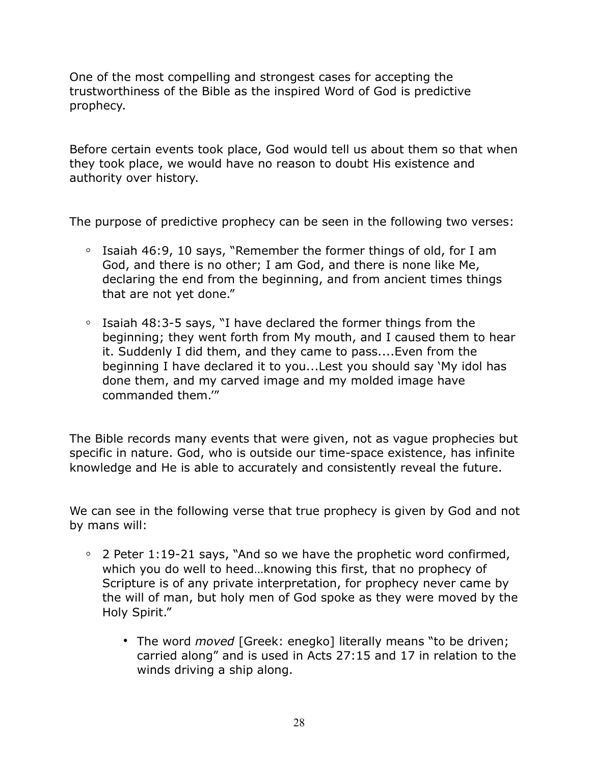One of the most compelling and strongest cases for accepting the trustworthiness of the Bible as the inspired Word of God is predictive prophecy.

Before certain events took place, God would tell us about them so that when they took place, we would have no reason to doubt His existence and authority over history.

The purpose of predictive prophecy can be seen in the following two verses:

- **◦** Isaiah 46:9, 10 says, "Remember the former things of old, for I am God, and there is no other; I am God, and there is none like Me, declaring the end from the beginning, and from ancient times things that are not yet done."
- **◦** Isaiah 48:3-5 says, "I have declared the former things from the beginning; they went forth from My mouth, and I caused them to hear it. Suddenly I did them, and they came to pass....Even from the beginning I have declared it to you...Lest you should say 'My idol has done them, and my carved image and my molded image have commanded them.'"

The Bible records many events that were given, not as vague prophecies but specific in nature. God, who is outside our time-space existence, has infinite knowledge and He is able to accurately and consistently reveal the future.

We can see in the following verse that true prophecy is given by God and not by mans will:

- **◦** 2 Peter 1:19-21 says, "And so we have the prophetic word confirmed, which you do well to heed…knowing this first, that no prophecy of Scripture is of any private interpretation, for prophecy never came by the will of man, but holy men of God spoke as they were moved by the Holy Spirit."
	- **•** The word *moved* [Greek: enegko] literally means "to be driven; carried along" and is used in Acts 27:15 and 17 in relation to the winds driving a ship along.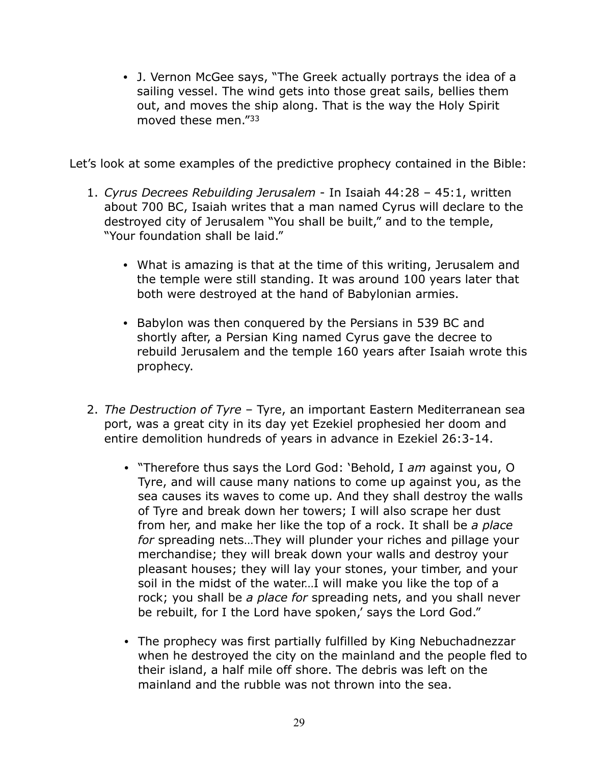**•** J. Vernon McGee says, "The Greek actually portrays the idea of a sailing vessel. The wind gets into those great sails, bellies them out, and moves the ship along. That is the way the Holy Spirit moved these men."33

Let's look at some examples of the predictive prophecy contained in the Bible:

- 1. *Cyrus Decrees Rebuilding Jerusalem* In Isaiah 44:28 45:1, written about 700 BC, Isaiah writes that a man named Cyrus will declare to the destroyed city of Jerusalem "You shall be built," and to the temple, "Your foundation shall be laid."
	- **•** What is amazing is that at the time of this writing, Jerusalem and the temple were still standing. It was around 100 years later that both were destroyed at the hand of Babylonian armies.
	- **•** Babylon was then conquered by the Persians in 539 BC and shortly after, a Persian King named Cyrus gave the decree to rebuild Jerusalem and the temple 160 years after Isaiah wrote this prophecy.
- 2. *The Destruction of Tyre* Tyre, an important Eastern Mediterranean sea port, was a great city in its day yet Ezekiel prophesied her doom and entire demolition hundreds of years in advance in Ezekiel 26:3-14.
	- "Therefore thus says the Lord God: 'Behold, I *am* against you, O Tyre, and will cause many nations to come up against you, as the sea causes its waves to come up. And they shall destroy the walls of Tyre and break down her towers; I will also scrape her dust from her, and make her like the top of a rock. It shall be *a place for* spreading nets…They will plunder your riches and pillage your merchandise; they will break down your walls and destroy your pleasant houses; they will lay your stones, your timber, and your soil in the midst of the water…I will make you like the top of a rock; you shall be *a place for* spreading nets, and you shall never be rebuilt, for I the Lord have spoken,' says the Lord God."
	- The prophecy was first partially fulfilled by King Nebuchadnezzar when he destroyed the city on the mainland and the people fled to their island, a half mile off shore. The debris was left on the mainland and the rubble was not thrown into the sea.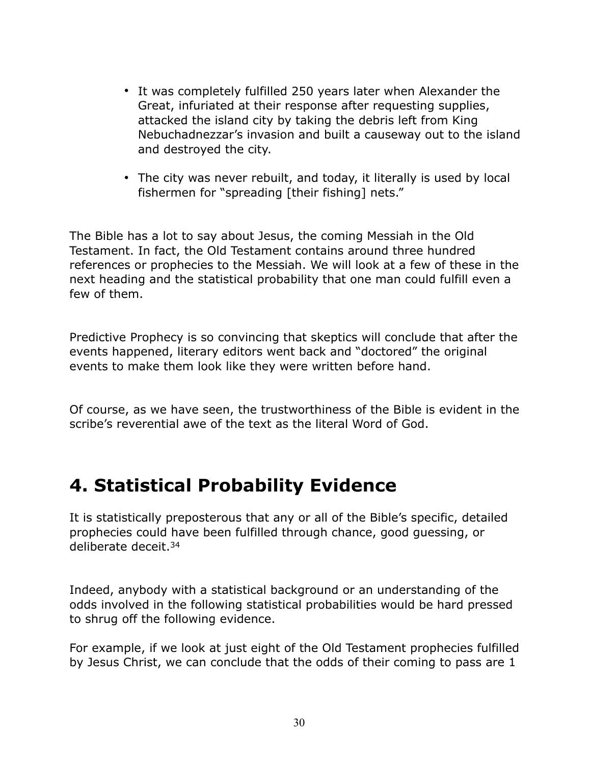- It was completely fulfilled 250 years later when Alexander the Great, infuriated at their response after requesting supplies, attacked the island city by taking the debris left from King Nebuchadnezzar's invasion and built a causeway out to the island and destroyed the city.
- The city was never rebuilt, and today, it literally is used by local fishermen for "spreading [their fishing] nets."

The Bible has a lot to say about Jesus, the coming Messiah in the Old Testament. In fact, the Old Testament contains around three hundred references or prophecies to the Messiah. We will look at a few of these in the next heading and the statistical probability that one man could fulfill even a few of them.

Predictive Prophecy is so convincing that skeptics will conclude that after the events happened, literary editors went back and "doctored" the original events to make them look like they were written before hand.

Of course, as we have seen, the trustworthiness of the Bible is evident in the scribe's reverential awe of the text as the literal Word of God.

### **4. Statistical Probability Evidence**

It is statistically preposterous that any or all of the Bible's specific, detailed prophecies could have been fulfilled through chance, good guessing, or deliberate deceit.34

Indeed, anybody with a statistical background or an understanding of the odds involved in the following statistical probabilities would be hard pressed to shrug off the following evidence.

For example, if we look at just eight of the Old Testament prophecies fulfilled by Jesus Christ, we can conclude that the odds of their coming to pass are 1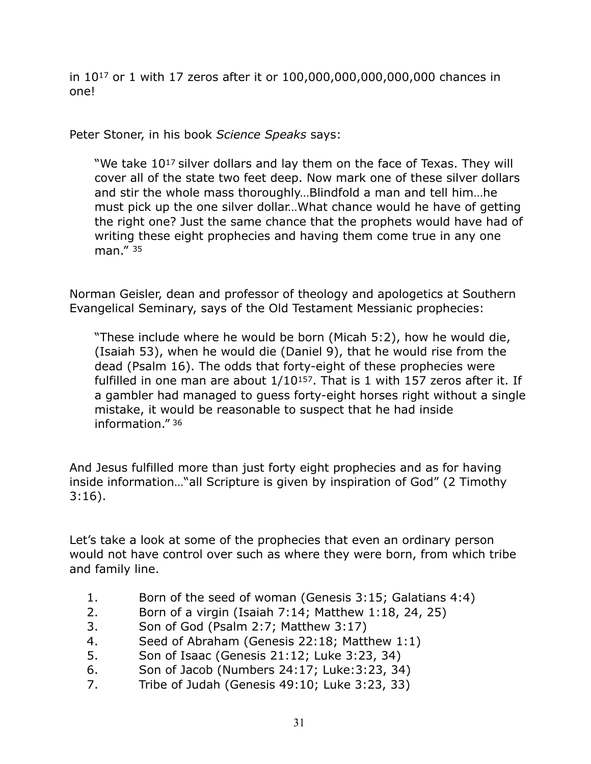in 1017 or 1 with 17 zeros after it or 100,000,000,000,000,000 chances in one!

Peter Stoner, in his book *Science Speaks* says:

"We take 10<sup>17</sup> silver dollars and lay them on the face of Texas. They will cover all of the state two feet deep. Now mark one of these silver dollars and stir the whole mass thoroughly…Blindfold a man and tell him…he must pick up the one silver dollar…What chance would he have of getting the right one? Just the same chance that the prophets would have had of writing these eight prophecies and having them come true in any one man." 35

Norman Geisler, dean and professor of theology and apologetics at Southern Evangelical Seminary, says of the Old Testament Messianic prophecies:

"These include where he would be born (Micah 5:2), how he would die, (Isaiah 53), when he would die (Daniel 9), that he would rise from the dead (Psalm 16). The odds that forty-eight of these prophecies were fulfilled in one man are about  $1/10^{157}$ . That is 1 with 157 zeros after it. If a gambler had managed to guess forty-eight horses right without a single mistake, it would be reasonable to suspect that he had inside information." 36

And Jesus fulfilled more than just forty eight prophecies and as for having inside information…"all Scripture is given by inspiration of God" (2 Timothy 3:16).

Let's take a look at some of the prophecies that even an ordinary person would not have control over such as where they were born, from which tribe and family line.

- 1. Born of the seed of woman (Genesis 3:15; Galatians 4:4)
- 2. Born of a virgin (Isaiah 7:14; Matthew 1:18, 24, 25)
- 3. Son of God (Psalm 2:7; Matthew 3:17)
- 4. Seed of Abraham (Genesis 22:18; Matthew 1:1)
- 5. Son of Isaac (Genesis 21:12; Luke 3:23, 34)
- 6. Son of Jacob (Numbers 24:17; Luke:3:23, 34)
- 7. Tribe of Judah (Genesis 49:10; Luke 3:23, 33)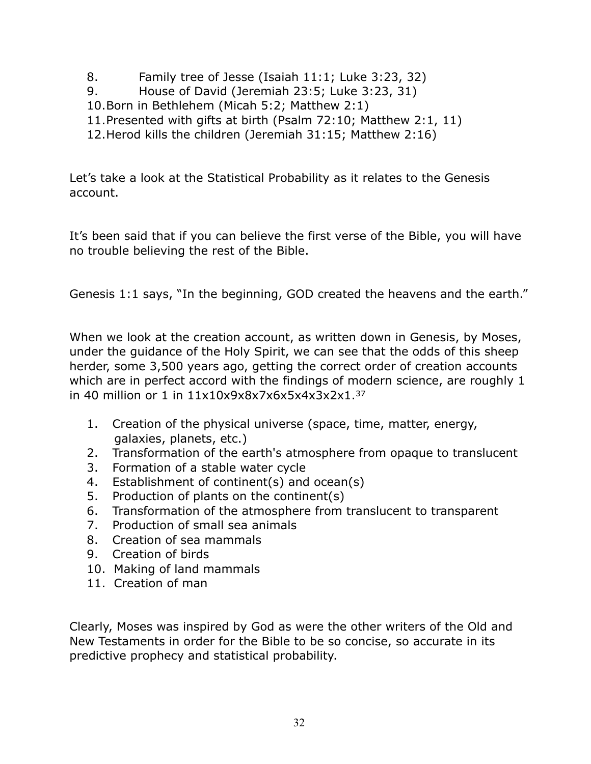- 8. Family tree of Jesse (Isaiah 11:1; Luke 3:23, 32)
- 9. House of David (Jeremiah 23:5; Luke 3:23, 31)
- 10.Born in Bethlehem (Micah 5:2; Matthew 2:1)
- 11.Presented with gifts at birth (Psalm 72:10; Matthew 2:1, 11)
- 12.Herod kills the children (Jeremiah 31:15; Matthew 2:16)

Let's take a look at the Statistical Probability as it relates to the Genesis account.

It's been said that if you can believe the first verse of the Bible, you will have no trouble believing the rest of the Bible.

Genesis 1:1 says, "In the beginning, GOD created the heavens and the earth."

When we look at the creation account, as written down in Genesis, by Moses, under the guidance of the Holy Spirit, we can see that the odds of this sheep herder, some 3,500 years ago, getting the correct order of creation accounts which are in perfect accord with the findings of modern science, are roughly 1 in 40 million or 1 in 11x10x9x8x7x6x5x4x3x2x1.37

- 1. Creation of the physical universe (space, time, matter, energy, galaxies, planets, etc.)
- 2. Transformation of the earth's atmosphere from opaque to translucent
- 3. Formation of a stable water cycle
- 4. Establishment of continent(s) and ocean(s)
- 5. Production of plants on the continent(s)
- 6. Transformation of the atmosphere from translucent to transparent
- 7. Production of small sea animals
- 8. Creation of sea mammals
- 9. Creation of birds
- 10. Making of land mammals
- 11. Creation of man

Clearly, Moses was inspired by God as were the other writers of the Old and New Testaments in order for the Bible to be so concise, so accurate in its predictive prophecy and statistical probability.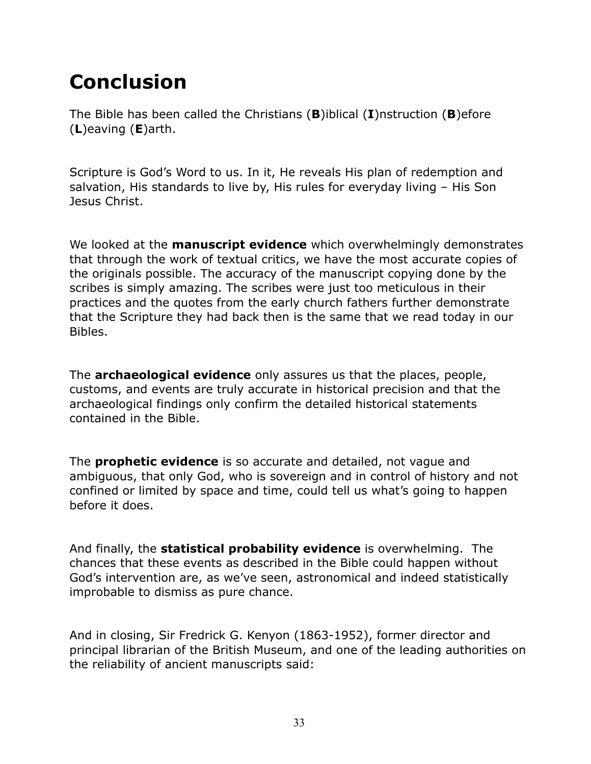# **Conclusion**

The Bible has been called the Christians (**B**)iblical (**I**)nstruction (**B**)efore (**L**)eaving (**E**)arth.

Scripture is God's Word to us. In it, He reveals His plan of redemption and salvation, His standards to live by, His rules for everyday living – His Son Jesus Christ.

We looked at the **manuscript evidence** which overwhelmingly demonstrates that through the work of textual critics, we have the most accurate copies of the originals possible. The accuracy of the manuscript copying done by the scribes is simply amazing. The scribes were just too meticulous in their practices and the quotes from the early church fathers further demonstrate that the Scripture they had back then is the same that we read today in our Bibles.

The **archaeological evidence** only assures us that the places, people, customs, and events are truly accurate in historical precision and that the archaeological findings only confirm the detailed historical statements contained in the Bible.

The **prophetic evidence** is so accurate and detailed, not vague and ambiguous, that only God, who is sovereign and in control of history and not confined or limited by space and time, could tell us what's going to happen before it does.

And finally, the **statistical probability evidence** is overwhelming. The chances that these events as described in the Bible could happen without God's intervention are, as we've seen, astronomical and indeed statistically improbable to dismiss as pure chance.

And in closing, Sir Fredrick G. Kenyon (1863-1952), former director and principal librarian of the British Museum, and one of the leading authorities on the reliability of ancient manuscripts said: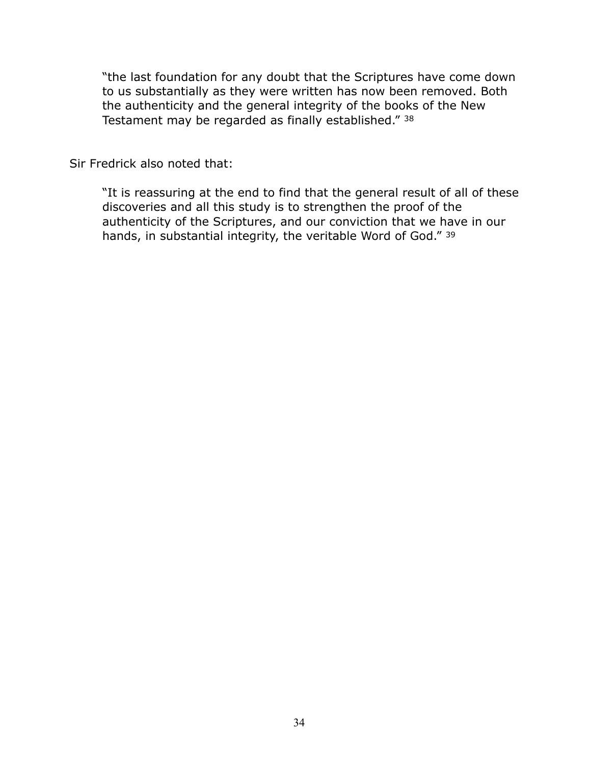"the last foundation for any doubt that the Scriptures have come down to us substantially as they were written has now been removed. Both the authenticity and the general integrity of the books of the New Testament may be regarded as finally established." 38

Sir Fredrick also noted that:

"It is reassuring at the end to find that the general result of all of these discoveries and all this study is to strengthen the proof of the authenticity of the Scriptures, and our conviction that we have in our hands, in substantial integrity, the veritable Word of God." 39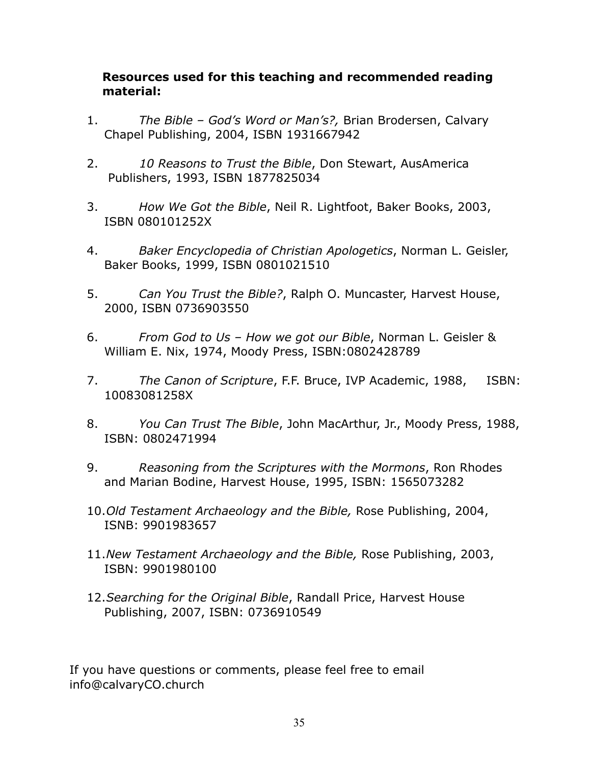#### **Resources used for this teaching and recommended reading material:**

- 1. *The Bible God's Word or Man's?,* Brian Brodersen, Calvary Chapel Publishing, 2004, ISBN 1931667942
- 2. *10 Reasons to Trust the Bible*, Don Stewart, AusAmerica Publishers, 1993, ISBN 1877825034
- 3. *How We Got the Bible*, Neil R. Lightfoot, Baker Books, 2003, ISBN 080101252X
- 4. *Baker Encyclopedia of Christian Apologetics*, Norman L. Geisler, Baker Books, 1999, ISBN 0801021510
- 5. *Can You Trust the Bible?*, Ralph O. Muncaster, Harvest House, 2000, ISBN 0736903550
- 6. *From God to Us How we got our Bible*, Norman L. Geisler & William E. Nix, 1974, Moody Press, ISBN:0802428789
- 7. *The Canon of Scripture*, F.F. Bruce, IVP Academic, 1988, ISBN: 10083081258X
- 8. *You Can Trust The Bible*, John MacArthur, Jr., Moody Press, 1988, ISBN: 0802471994
- 9. *Reasoning from the Scriptures with the Mormons*, Ron Rhodes and Marian Bodine, Harvest House, 1995, ISBN: 1565073282
- 10.*Old Testament Archaeology and the Bible,* Rose Publishing, 2004, ISNB: 9901983657
- 11.*New Testament Archaeology and the Bible,* Rose Publishing, 2003, ISBN: 9901980100
- 12.*Searching for the Original Bible*, Randall Price, Harvest House Publishing, 2007, ISBN: 0736910549

If you have questions or comments, please feel free to email info@calvaryCO.church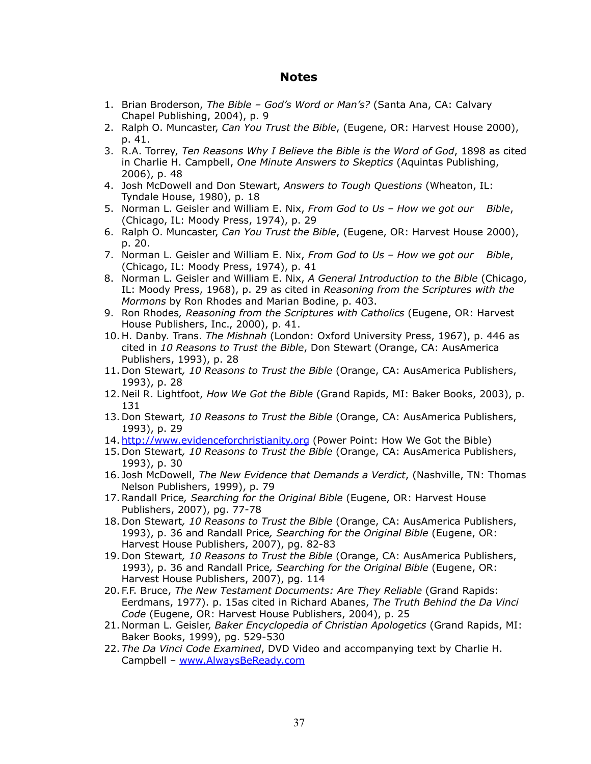#### **Notes**

- 1. Brian Broderson, *The Bible God's Word or Man's?* (Santa Ana, CA: Calvary Chapel Publishing, 2004), p. 9
- 2. Ralph O. Muncaster, *Can You Trust the Bible*, (Eugene, OR: Harvest House 2000), p. 41.
- 3. R.A. Torrey, *Ten Reasons Why I Believe the Bible is the Word of God*, 1898 as cited in Charlie H. Campbell, *One Minute Answers to Skeptics* (Aquintas Publishing, 2006), p. 48
- 4. Josh McDowell and Don Stewart, *Answers to Tough Questions* (Wheaton, IL: Tyndale House, 1980), p. 18
- 5. Norman L. Geisler and William E. Nix, *From God to Us How we got our Bible*, (Chicago, IL: Moody Press, 1974), p. 29
- 6. Ralph O. Muncaster, *Can You Trust the Bible*, (Eugene, OR: Harvest House 2000), p. 20.
- 7. Norman L. Geisler and William E. Nix, *From God to Us How we got our Bible*, (Chicago, IL: Moody Press, 1974), p. 41
- 8. Norman L. Geisler and William E. Nix, *A General Introduction to the Bible* (Chicago, IL: Moody Press, 1968), p. 29 as cited in *Reasoning from the Scriptures with the Mormons* by Ron Rhodes and Marian Bodine, p. 403.
- 9. Ron Rhodes*, Reasoning from the Scriptures with Catholics* (Eugene, OR: Harvest House Publishers, Inc., 2000), p. 41.
- 10. H. Danby. Trans. *The Mishnah* (London: Oxford University Press, 1967), p. 446 as cited in *10 Reasons to Trust the Bible*, Don Stewart (Orange, CA: AusAmerica Publishers, 1993), p. 28
- 11. Don Stewart*, 10 Reasons to Trust the Bible* (Orange, CA: AusAmerica Publishers, 1993), p. 28
- 12. Neil R. Lightfoot, *How We Got the Bible* (Grand Rapids, MI: Baker Books, 2003), p. 131
- 13. Don Stewart*, 10 Reasons to Trust the Bible* (Orange, CA: AusAmerica Publishers, 1993), p. 29
- 14. <http://www.evidenceforchristianity.org>(Power Point: How We Got the Bible)
- 15. Don Stewart*, 10 Reasons to Trust the Bible* (Orange, CA: AusAmerica Publishers, 1993), p. 30
- 16. Josh McDowell, *The New Evidence that Demands a Verdict*, (Nashville, TN: Thomas Nelson Publishers, 1999), p. 79
- 17.Randall Price*, Searching for the Original Bible* (Eugene, OR: Harvest House Publishers, 2007), pg. 77-78
- 18. Don Stewart*, 10 Reasons to Trust the Bible* (Orange, CA: AusAmerica Publishers, 1993), p. 36 and Randall Price*, Searching for the Original Bible* (Eugene, OR: Harvest House Publishers, 2007), pg. 82-83
- 19. Don Stewart*, 10 Reasons to Trust the Bible* (Orange, CA: AusAmerica Publishers, 1993), p. 36 and Randall Price*, Searching for the Original Bible* (Eugene, OR: Harvest House Publishers, 2007), pg. 114
- 20. F.F. Bruce, *The New Testament Documents: Are They Reliable* (Grand Rapids: Eerdmans, 1977). p. 15as cited in Richard Abanes, *The Truth Behind the Da Vinci Code* (Eugene, OR: Harvest House Publishers, 2004), p. 25
- 21. Norman L. Geisler, *Baker Encyclopedia of Christian Apologetics* (Grand Rapids, MI: Baker Books, 1999), pg. 529-530
- 22. *The Da Vinci Code Examined*, DVD Video and accompanying text by Charlie H. Campbell – [www.AlwaysBeReady.com](http://www.AlwaysBeReady.com)